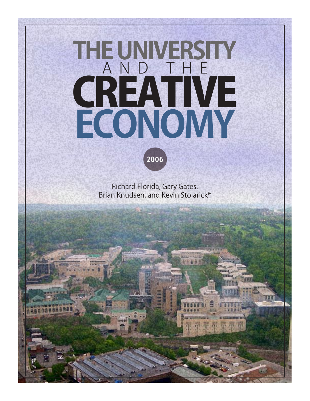# **THE UNIVERSITY**  <u>and the</u> CREATIVE **ECONOMY**



Richard Florida, Gary Gates, Brian Knudsen, and Kevin Stolarick\*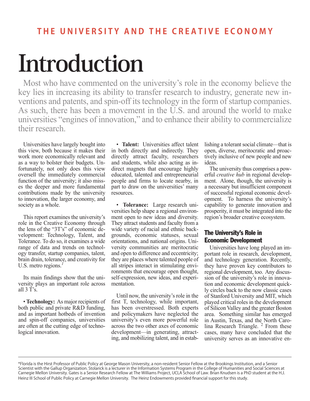# **Introduction**

Most who have commented on the university's role in the economy believe the key lies in increasing its ability to transfer research to industry, generate new inventions and patents, and spin-off its technology in the form of startup companies. As such, there has been a movement in the U.S. and around the world to make universities "engines of innovation," and to enhance their ability to commercialize their research.

Universities have largely bought into this view, both because it makes their work more economically relevant and as a way to bolster their budgets. Unfortunately, not only does this view oversell the immediately commercial function of the university; it also misses the deeper and more fundamental contributions made by the university to innovation, the larger economy, and society as a whole.

This report examines the university's role in the Creative Economy through the lens of the "3T's" of economic development: Technology, Talent, and Tolerance. To do so, it examines a wide range of data and trends on technology transfer, startup companies, talent, brain drain, tolerance, and creativity for U.S. metro regions.*<sup>1</sup>*

Its main findings show that the university plays an important role across all  $3 \overline{T}$ 's.

• **Technology:** As major recipients of both public and private R&D funding, and as important hotbeds of invention and spin-off companies, universities are often at the cutting edge of technological innovation.

• **Talent:** Universities affect talent in both directly and indirectly. They directly attract faculty, researchers and students, while also acting as indirect magnets that encourage highly educated, talented and entrepreneurial people and firms to locate nearby, in part to draw on the universities' many resources.

• **Tolerance:** Large research universities help shape a regional environment open to new ideas and diversity. They attract students and faculty from a wide variety of racial and ethnic backgrounds, economic statuses, sexual orientations, and national origins. University communities are meritocratic and open to difference and eccentricity; they are places where talented people of all stripes interact in stimulating environments that encourage open thought, self-expression, new ideas, and experimentation.

Until now, the university's role in the first T, technology, while important, has been overstressed. Both experts and policymakers have neglected the university's even more powerful role across the two other axes of economic development—in generating, attracting, and mobilizing talent, and in establishing a tolerant social climate—that is open, diverse, meritocratic and proactively inclusive of new people and new ideas.

The university thus comprises a powerful *creative hub* in regional development. Alone, though, the university is a necessary but insufficient component of successful regional economic development. To harness the university's capability to generate innovation and prosperity, it must be integrated into the region's broader creative ecosystem.

#### The University's Role in Economic Development

Universities have long played an important role in research, development, and technology generation. Recently, they have proven key contributors to regional development, too. Any discussion of the university's role in innovation and economic development quickly circles back to the now classic cases of Stanford University and MIT, which played critical roles in the development of Silicon Valley and the greater Boston area. Something similar has emerged in Austin, Texas, and the North Carolina Research Triangle.<sup>2</sup> From these cases, many have concluded that the university serves as an innovative en-

<sup>\*</sup>Florida is the Hirst Professor of Public Policy at George Mason University, a non-resident Senior Fellow at the Brookings Institution, and a Senior Scientist with the Gallup Organization. Stolarick is a lecturer in the Information Systems Program in the College of Humanities and Social Sciences at Carnegie Mellon University. Gates is a Senior Research Fellow at The Williams Project, UCLA School of Law. Brian Knudsen is a PhD student at the H.J. Heinz III School of Public Policy at Carnegie Mellon University. The Heinz Endowments provided financial support for this study.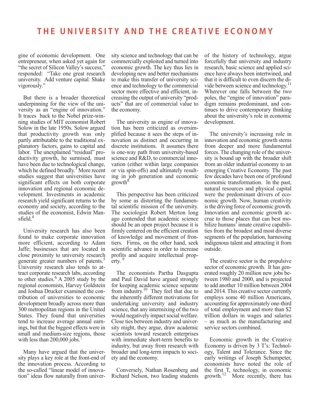gine of economic development. One entrepreneur, when asked yet again for "the secret of Silicon Valley's success," responded: "Take one great research university. Add venture capital. Shake vigorously."

But there is a broader theoretical underpinning for the view of the university as an "engine of innovation." It traces back to the Nobel prize-winning studies of MIT economist Robert Solow in the late 1950s. Solow argued that productivity growth was only partly attributable to the traditional explanatory factors, gains to capital and labor. The unexplained "residual" productivity growth, he surmised, must have been due to technological change, which he defined broadly.<sup>3</sup> More recent studies suggest that universities have significant effects on both corporate innovation and regional economic development. Investments in academic research yield significant returns to the economy and society, according to the studies of the economist, Edwin Mansfield<sup>4</sup>

University research has also been found to make corporate innovation more efficient, according to Adam Jaffe; businesses that are located in close proximity to university research generate greater numbers of patents.<sup>5</sup> University research also tends to attract corporate research labs, according to other studies.<sup>6</sup> A 2005 study by the regional economists, Harvey Goldstein and Joshua Drucker examined the contribution of universities to economic development broadly across more than 300 metropolitan regions in the United States. They found that universities tend to increase average annual earnings, but that the biggest effects were in small and medium-size regions, those with less than  $200,000$  jobs.

Many have argued that the university plays a key role at the front-end of the innovation process. According to the so-called "linear model of innovation" ideas flow naturally from university science and technology that can be commercially exploited and turned into economic growth. The key thus lies in developing new and better mechanisms to make this transfer of university science and technology to the commercial sector more effective and efficient, increasing the output of university "products" that are of commercial value to the economy.

The university as engine of innovation has been criticized as oversimplified because it sees the steps of innovation as distinct and occurring in discrete institutions. It assumes there is one-way path from university-based science and R&D, to commercial innovation (either within large companies or via spin-offs) and ultimately resulting in job generation and economic  $\text{growth}^8$ 

This perspective has been criticized by some as distorting the fundamental scientific mission of the university. The sociologist Robert Merton long ago contended that academic science should be an open project because it is firmly centered on the efficient creation of knowledge and movement of frontiers. Firms, on the other hand, seek scientific advance in order to increase profits and acquire intellectual property.

The economists Partha Dasgupta and Paul David have argued strongly for keeping academic science separate from industry.<sup>10</sup> They feel that due to the inherently different motivations for undertaking university and industry science, that any intermixing of the two would negatively impact social welfare. Close ties between industry and university might, they argue, draw academic scientists toward research enterprises with immediate short-term benefits to industry, but away from research with broader and long-term impacts to society and the economy.

Conversely, Nathan Rosenberg and Richard Nelson, two leading students of the history of technology, argue forcefully that university and industry research, basic science and applied science have always been intertwined, and that it is difficult to even discern the divide between science and technology.<sup>1</sup> Wherever one falls between the two poles, the "engine of innovation" paradigm remains predominant, and continues to drive contemporary thinking about the university's role in economic development.

The university's increasing role in innovation and economic growth stems from deeper and more fundamental forces. The changing role of the university is bound up with the broader shift from an older industrial economy to an emerging Creative Economy. The past few decades have been one of profound economic transformation. In the past, natural resources and physical capital were the predominant drivers of economic growth. Now, human creativity is the driving force of economic growth. Innovation and economic growth accrue to those places that can best mobilize humans' innate creative capabilities from the broadest and most diverse segments of the population, harnessing indigenous talent and attracting it from outside.

The creative sector is the propulsive sector of economic growth. It has generated roughly 20 million new jobs between 1980 and 2000, and is projected to add another 10 million between 2004 and 2014. This creative sector currently employs some 40 million Americans, accounting for approximately one-third of total employment and more than \$2 trillion dollars in wages and salaries – as much as the manufacturing and service sectors combined.

Economic growth in the Creative Economy is driven by 3 T's: Technology, Talent and Tolerance. Since the early writings of Joseph Schumpeter, economists have noted the role of the first T, technology, in economic growth.<sup>12</sup> More recently, there has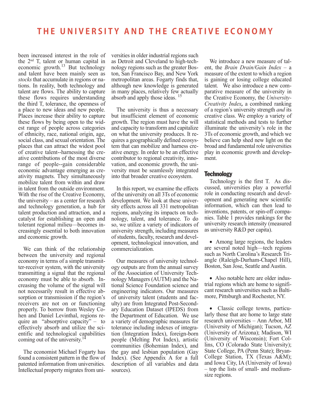been increased interest in the role of the  $2<sup>nd</sup>$  T, talent or human capital in economic growth.<sup>13</sup> But technology and talent have been mainly seen as *stocks* that accumulate in regions or nations. In reality, both technology and talent are flows. The ability to capture these flows requires understanding the third T, tolerance, the openness of a place to new ideas and new people. Places increase their ability to capture these flows by being open to the widest range of people across categories of ethnicity, race, national origin, age, social class, and sexual orientation. The places that can attract the widest pool of creative talent--harnessing the creative contributions of the most diverse range of people--gain considerable economic advantage emerging as creativity magnets. They simultaneously mobilize talent from within and draw in talent from the outside environment. With the rise of the Creative Economy, the university – as a center for research and technology generation, a hub for talent production and attraction, and a catalyst for establishing an open and tolerant regional milieu—becomes increasingly essential to both innovation and economic growth.

We can think of the relationship between the university and regional economy in terms of a simple transmitter-receiver system, with the university transmitting a signal that the regional economy must be able to absorb. Increasing the volume of the signal will not necessarily result in effective absorption or transmission if the region's receivers are not on or functioning properly. To borrow from Wesley Cohen and Daniel Levinthal, regions require an "absorptive capacity" – to effectively absorb and utilize the scientific and technological capabilities coming out of the university.<sup>14</sup>

The economist Michael Fogarty has found a consistent pattern in the flow of patented information from universities. Intellectual property migrates from universities in older industrial regions such as Detroit and Cleveland to high-technology regions such as the greater Boston, San Francisco Bay, and New York metropolitan areas. Fogarty finds that, although new knowledge is generated in many places, relatively few actually absorb and apply those ideas. <sup>15</sup>

The university is thus a necessary but insufficient element of economic growth. The region must have the will and capacity to transform and capitalize on what the university produces. It requires a geographically defined ecosystem that can mobilize and harness creative energy. In order to be an effective contributor to regional creativity, innovation, and economic growth, the university must be seamlessly integrated into that broader creative ecosystem.

In this report, we examine the effects of the university on all 3Ts of economic development. We look at these university effects across all 331 metropolitan regions, analyzing its impacts on technology, talent, and tolerance. To do so, we utilize a variety of indicators of university strength, including measures of students, faculty, research and development, technological innovation, and commercialization.

Our measures of university technology outputs are from the annual survey of the Association of University Technology Managers (AUTM) and the National Science Foundation science and engineering indicators. Our measures of university talent (students and faculty) are from Integrated Post-Secondary Education Dataset (IPEDS) from the Department of Education. We use a variety of demographic measures for tolerance including indexes of integration (Integration Index), foreign-born people (Melting Pot Index), artistic communities (Bohemian Index), and the gay and lesbian population (Gay Index). (See Appendix A for a full description of all variables and data sources).

We introduce a new measure of talent, the *Brain Drain/Gain Index* – a measure of the extent to which a region is gaining or losing college educated talent. We also introduce a new comparative measure of the university in the Creative Economy, the *University-Creativity Index,* a combined ranking of a region's university strength *and* its creative class. We employ a variety of statistical methods and tests to further illuminate the university's role in the 3Ts of economic growth, and which we believe can help shed new light on the broad and fundamental role universities play in economic growth and development.

#### **Technology**

Technology is the first T. As discussed, universities play a powerful role in conducting research and development and generating new scientific information, which can then lead to inventions, patents, or spin-off companies. Table 1 provides rankings for the university research intensity (measured as university R&D per capita).

• Among large regions, the leaders are several noted high—tech regions such as North Carolina's Research Triangle (Raleigh-Durham-Chapel Hill), Boston, San Jose, Seattle and Austin.

• Also notable here are older industrial regions which are home to significant research universities such as Baltimore, Pittsburgh and Rochester, NY.

• Classic college towns, particularly those that are home to large state research universities – Ann Arbor, MI (University of Michigan); Tucson, AZ (University of Arizona); Madison, WI (University of Wisconsin); Fort Collins, CO (Colorado State University); State College, PA (Penn State); Bryan-College Station, TX (Texas A&M); and Iowa City, IA (University of Iowa) – top the lists of small- and mediumsize regions.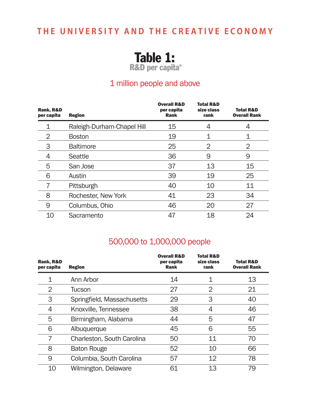Table 1:

R&D per capita\*

### 1 million people and above

| Rank, R&D<br>per capita | <b>Region</b>              | <b>Overall R&amp;D</b><br>per capita<br><b>Rank</b> | <b>Total R&amp;D</b><br>size class<br>rank | <b>Total R&amp;D</b><br><b>Overall Rank</b> |
|-------------------------|----------------------------|-----------------------------------------------------|--------------------------------------------|---------------------------------------------|
|                         | Raleigh-Durham-Chapel Hill | 15                                                  |                                            | 4                                           |
| 2                       | <b>Boston</b>              | 19                                                  |                                            |                                             |
| 3                       | <b>Baltimore</b>           | 25                                                  | 2                                          | 2                                           |
| 4                       | Seattle                    | 36                                                  | 9                                          | 9                                           |
| 5                       | San Jose                   | 37                                                  | 13                                         | 15                                          |
| 6                       | Austin                     | 39                                                  | 19                                         | 25                                          |
| 7                       | Pittsburgh                 | 40                                                  | 10                                         | 11                                          |
| 8                       | Rochester, New York        | 41                                                  | 23                                         | 34                                          |
| 9                       | Columbus, Ohio             | 46                                                  | 20                                         | 27                                          |
| 10                      | Sacramento                 | 47                                                  | 18                                         | 24                                          |

### 500,000 to 1,000,000 people

| Rank, R&D<br>per capita | <b>Region</b>              | <b>Overall R&amp;D</b><br>per capita<br><b>Rank</b> | <b>Total R&amp;D</b><br>size class<br>rank | <b>Total R&amp;D</b><br><b>Overall Rank</b> |
|-------------------------|----------------------------|-----------------------------------------------------|--------------------------------------------|---------------------------------------------|
| 1                       | Ann Arbor                  | 14                                                  | 1                                          | 13                                          |
| 2                       | Tucson                     | 27                                                  | 2                                          | 21                                          |
| 3                       | Springfield, Massachusetts | 29                                                  | 3                                          | 40                                          |
| 4                       | Knoxville, Tennessee       | 38                                                  | 4                                          | 46                                          |
| 5                       | Birmingham, Alabama        | 44                                                  | 5                                          | 47                                          |
| 6                       | Albuquerque                | 45                                                  | 6                                          | 55                                          |
| 7                       | Charleston, South Carolina | 50                                                  | 11                                         | 70                                          |
| 8                       | <b>Baton Rouge</b>         | 52                                                  | 10                                         | 66                                          |
| 9                       | Columbia, South Carolina   | 57                                                  | 12                                         | 78                                          |
| 10                      | Wilmington, Delaware       | 61                                                  | 13                                         | 79                                          |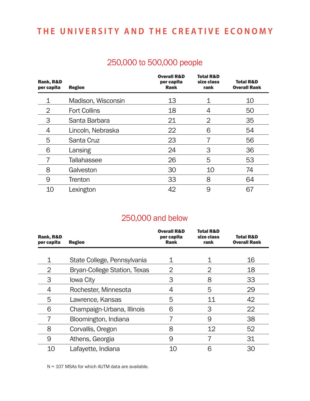### 250,000 to 500,000 people

| Rank, R&D<br>per capita | <b>Region</b>       | <b>Overall R&amp;D</b><br>per capita<br>Rank | <b>Total R&amp;D</b><br>size class<br>rank | <b>Total R&amp;D</b><br><b>Overall Rank</b> |
|-------------------------|---------------------|----------------------------------------------|--------------------------------------------|---------------------------------------------|
| 1                       | Madison, Wisconsin  | 13                                           |                                            | 10                                          |
| 2                       | <b>Fort Collins</b> | 18                                           | 4                                          | 50                                          |
| 3                       | Santa Barbara       | 21                                           | 2                                          | 35                                          |
| 4                       | Lincoln, Nebraska   | 22                                           | 6                                          | 54                                          |
| 5                       | Santa Cruz          | 23                                           |                                            | 56                                          |
| 6                       | Lansing             | 24                                           | 3                                          | 36                                          |
|                         | <b>Tallahassee</b>  | 26                                           | 5                                          | 53                                          |
| 8                       | Galveston           | 30                                           | 10                                         | 74                                          |
| 9                       | <b>Trenton</b>      | 33                                           | 8                                          | 64                                          |
| 10                      | Lexington           | 42                                           | 9                                          | 67                                          |

### 250,000 and below

| Rank, R&D<br>per capita | <b>Region</b>                       | <b>Overall R&amp;D</b><br>per capita<br><b>Rank</b> | <b>Total R&amp;D</b><br>size class<br>rank | <b>Total R&amp;D</b><br><b>Overall Rank</b> |
|-------------------------|-------------------------------------|-----------------------------------------------------|--------------------------------------------|---------------------------------------------|
|                         |                                     |                                                     |                                            |                                             |
|                         | State College, Pennsylvania         |                                                     |                                            | 16                                          |
| 2                       | <b>Bryan-College Station, Texas</b> | 2                                                   | 2                                          | 18                                          |
| 3                       | <b>lowa City</b>                    | 3                                                   | 8                                          | 33                                          |
| 4                       | Rochester, Minnesota                | 4                                                   | 5                                          | 29                                          |
| 5                       | Lawrence, Kansas                    | 5                                                   | 11                                         | 42                                          |
| 6                       | Champaign-Urbana, Illinois          | 6                                                   | 3                                          | 22                                          |
|                         | Bloomington, Indiana                |                                                     | 9                                          | 38                                          |
| 8                       | Corvallis, Oregon                   | 8                                                   | 12                                         | 52                                          |
| 9                       | Athens, Georgia                     | 9                                                   |                                            | 31                                          |
| 10                      | Lafayette, Indiana                  | 10                                                  | ൳                                          | 30                                          |

N = 107 MSAs for which AUTM data are available.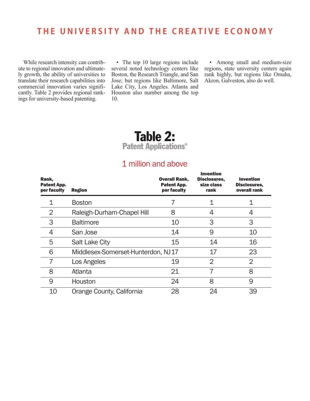While research intensity can contribute to regional innovation and ultimately growth, the ability of universities to translate their research capabilities into commercial innovation varies significantly. Table 2 provides regional rankings for university-based patenting.

• The top 10 large regions include several noted technology centers like Boston, the Research Triangle, and San Jose; but regions like Baltimore, Salt Lake City, Los Angeles. Atlanta and Houston also number among the top 10.

• Among small and medium-size regions, state university centers again rank highly, but regions like Omaha, Akron, Galveston, also do well.

### Table 2: Patent Applications\*

### 1 million and above

| Rank,<br>Patent App.<br>per faculty | <b>Region</b>                      | <b>Overall Rank,</b><br>Patent App.<br>per faculty | <b>Invention</b><br>Disclosures,<br>size class<br>rank | <b>Invention</b><br>Disclosures,<br>overall rank |
|-------------------------------------|------------------------------------|----------------------------------------------------|--------------------------------------------------------|--------------------------------------------------|
|                                     | <b>Boston</b>                      |                                                    |                                                        |                                                  |
| 2                                   | Raleigh-Durham-Chapel Hill         | 8                                                  | 4                                                      |                                                  |
| 3                                   | <b>Baltimore</b>                   | 10                                                 | 3                                                      | 3                                                |
| 4                                   | San Jose                           | 14                                                 | 9                                                      | 10                                               |
| 5                                   | <b>Salt Lake City</b>              | 15                                                 | 14                                                     | 16                                               |
| 6                                   | Middlesex-Somerset-Hunterdon, NJ17 |                                                    | 17                                                     | 23                                               |
|                                     | Los Angeles                        | 19                                                 | $\overline{2}$                                         | $\overline{2}$                                   |
| 8                                   | Atlanta                            | 21                                                 | 7                                                      | 8                                                |
| 9                                   | Houston                            | 24                                                 | 8                                                      | 9                                                |
| 10                                  | Orange County, California          | 28                                                 | 24                                                     | 39                                               |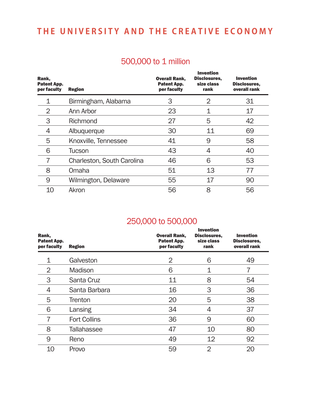### 500,000 to 1 million

| Rank,<br>Patent App.<br>per faculty | <b>Region</b>              | <b>Overall Rank,</b><br>Patent App.<br>per faculty | <b>Invention</b><br>Disclosures,<br>size class<br>rank | <b>Invention</b><br>Disclosures,<br>overall rank |
|-------------------------------------|----------------------------|----------------------------------------------------|--------------------------------------------------------|--------------------------------------------------|
| 1                                   | Birmingham, Alabama        | 3                                                  | 2                                                      | 31                                               |
| 2                                   | Ann Arbor                  | 23                                                 |                                                        | 17                                               |
| 3                                   | Richmond                   | 27                                                 | 5                                                      | 42                                               |
| 4                                   | Albuquerque                | 30                                                 | 11                                                     | 69                                               |
| 5                                   | Knoxville, Tennessee       | 41                                                 | 9                                                      | 58                                               |
| 6                                   | Tucson                     | 43                                                 | 4                                                      | 40                                               |
| 7                                   | Charleston, South Carolina | 46                                                 | 6                                                      | 53                                               |
| 8                                   | Omaha                      | 51                                                 | 13                                                     | 77                                               |
| 9                                   | Wilmington, Delaware       | 55                                                 | 17                                                     | 90                                               |
| 10                                  | Akron                      | 56                                                 | 8                                                      | 56                                               |

### 250,000 to 500,000

| Rank,<br>Patent App.<br>per faculty | <b>Region</b>       | <b>Overall Rank,</b><br><b>Patent App.</b><br>per faculty | <b>Invention</b><br>Disclosures,<br>size class<br>rank | <b>Invention</b><br>Disclosures,<br>overall rank |
|-------------------------------------|---------------------|-----------------------------------------------------------|--------------------------------------------------------|--------------------------------------------------|
|                                     | Galveston           | $\overline{2}$                                            | 6                                                      | 49                                               |
| 2                                   | Madison             | 6                                                         | 1                                                      |                                                  |
| 3                                   | Santa Cruz          | 11                                                        | 8                                                      | 54                                               |
| 4                                   | Santa Barbara       | 16                                                        | 3                                                      | 36                                               |
| 5                                   | <b>Trenton</b>      | 20                                                        | 5                                                      | 38                                               |
| 6                                   | Lansing             | 34                                                        | 4                                                      | 37                                               |
|                                     | <b>Fort Collins</b> | 36                                                        | 9                                                      | 60                                               |
| 8                                   | <b>Tallahassee</b>  | 47                                                        | 10                                                     | 80                                               |
| 9                                   | Reno                | 49                                                        | 12                                                     | 92                                               |
| 10                                  | Provo               | 59                                                        | $\overline{2}$                                         | 20                                               |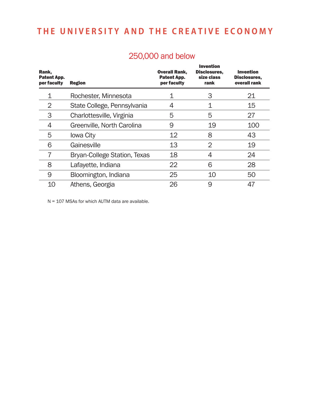| Rank,<br>Patent App.<br>per faculty | <b>Region</b>                       | <b>Overall Rank,</b><br>Patent App.<br>per faculty | <b>Invention</b><br>Disclosures,<br>size class<br>rank | <b>Invention</b><br>Disclosures,<br>overall rank |
|-------------------------------------|-------------------------------------|----------------------------------------------------|--------------------------------------------------------|--------------------------------------------------|
|                                     | Rochester, Minnesota                |                                                    | З                                                      | 21                                               |
| 2                                   | State College, Pennsylvania         | 4                                                  |                                                        | 15                                               |
| 3                                   | Charlottesville, Virginia           | 5                                                  | 5                                                      | 27                                               |
| 4                                   | Greenville, North Carolina          | 9                                                  | 19                                                     | 100                                              |
| 5                                   | <b>lowa City</b>                    | 12                                                 | 8                                                      | 43                                               |
| 6                                   | Gainesville                         | 13                                                 | $\overline{2}$                                         | 19                                               |
|                                     | <b>Bryan-College Station, Texas</b> | 18                                                 | 4                                                      | 24                                               |
| 8                                   | Lafayette, Indiana                  | 22                                                 | 6                                                      | 28                                               |
| 9                                   | Bloomington, Indiana                | 25                                                 | 10                                                     | 50                                               |
| 10                                  | Athens, Georgia                     | 26                                                 | 9                                                      | 47                                               |

### 250,000 and below

N = 107 MSAs for which AUTM data are available.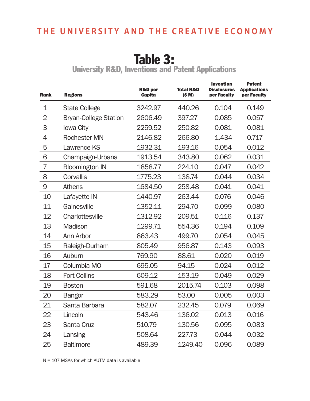# Table 3:

University R&D, Inventions and Patent Applications

| <b>Rank</b>    | <b>Regions</b>               | <b>R&amp;D</b> per<br><b>Capita</b> | <b>Total R&amp;D</b><br>(S M) | <b>Invention</b><br><b>Disclosures</b><br>per Faculty | <b>Patent</b><br><b>Applications</b><br>per Faculty |
|----------------|------------------------------|-------------------------------------|-------------------------------|-------------------------------------------------------|-----------------------------------------------------|
| 1              | <b>State College</b>         | 3242.97                             | 440.26                        | 0.104                                                 | 0.149                                               |
| $\overline{2}$ | <b>Bryan-College Station</b> | 2606.49                             | 397.27                        | 0.085                                                 | 0.057                                               |
| 3              | <b>lowa City</b>             | 2259.52                             | 250.82                        | 0.081                                                 | 0.081                                               |
| 4              | <b>Rochester MN</b>          | 2146.82                             | 266.80                        | 1.434                                                 | 0.717                                               |
| 5              | <b>Lawrence KS</b>           | 1932.31                             | 193.16                        | 0.054                                                 | 0.012                                               |
| 6              | Champaign-Urbana             | 1913.54                             | 343.80                        | 0.062                                                 | 0.031                                               |
| 7              | <b>Bloomington IN</b>        | 1858.77                             | 224.10                        | 0.047                                                 | 0.042                                               |
| 8              | Corvallis                    | 1775.23                             | 138.74                        | 0.044                                                 | 0.034                                               |
| 9              | Athens                       | 1684.50                             | 258.48                        | 0.041                                                 | 0.041                                               |
| 10             | Lafayette IN                 | 1440.97                             | 263.44                        | 0.076                                                 | 0.046                                               |
| 11             | Gainesville                  | 1352.11                             | 294.70                        | 0.099                                                 | 0.080                                               |
| 12             | Charlottesville              | 1312.92                             | 209.51                        | 0.116                                                 | 0.137                                               |
| 13             | Madison                      | 1299.71                             | 554.36                        | 0.194                                                 | 0.109                                               |
| 14             | Ann Arbor                    | 863.43                              | 499.70                        | 0.054                                                 | 0.045                                               |
| 15             | Raleigh-Durham               | 805.49                              | 956.87                        | 0.143                                                 | 0.093                                               |
| 16             | Auburn                       | 769.90                              | 88.61                         | 0.020                                                 | 0.019                                               |
| 17             | Columbia MO                  | 695.05                              | 94.15                         | 0.024                                                 | 0.012                                               |
| 18             | <b>Fort Collins</b>          | 609.12                              | 153.19                        | 0.049                                                 | 0.029                                               |
| 19             | <b>Boston</b>                | 591.68                              | 2015.74                       | 0.103                                                 | 0.098                                               |
| 20             | <b>Bangor</b>                | 583.29                              | 53.00                         | 0.005                                                 | 0.003                                               |
| 21             | Santa Barbara                | 582.07                              | 232.45                        | 0.079                                                 | 0.069                                               |
| 22             | Lincoln                      | 543.46                              | 136.02                        | 0.013                                                 | 0.016                                               |
| 23             | Santa Cruz                   | 510.79                              | 130.56                        | 0.095                                                 | 0.083                                               |
| 24             | Lansing                      | 508.64                              | 227.73                        | 0.044                                                 | 0.032                                               |
| 25             | <b>Baltimore</b>             | 489.39                              | 1249.40                       | 0.096                                                 | 0.089                                               |

N = 107 MSAs for which AUTM data is available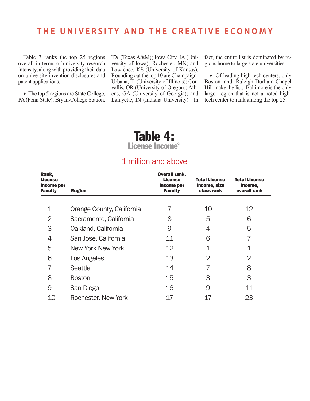Table 3 ranks the top 25 regions overall in terms of university research intensity, along with providing their data on university invention disclosures and patent applications.

• The top 5 regions are State College, PA (Penn State); Bryan-College Station,

TX (Texas A&M); Iowa City, IA (University of Iowa); Rochester, MN; and Lawrence, KS (University of Kansas). Rounding out the top 10 are Champaign-Urbana, IL (University of Illinois); Corvallis, OR (University of Oregon); Athens, GA (University of Georgia); and Lafayette, IN (Indiana University). In

fact, the entire list is dominated by regions home to large state universities.

• Of leading high-tech centers, only Boston and Raleigh-Durham-Chapel Hill make the list. Baltimore is the only larger region that is not a noted hightech center to rank among the top 25.

### Table 4: License Income\*

### 1 million and above

| Rank,<br><b>License</b><br>Income per<br><b>Faculty</b> | <b>Region</b>             | <b>Overall rank,</b><br><b>License</b><br>Income per<br><b>Faculty</b> | <b>Total License</b><br>Income, size<br>class rank | <b>Total License</b><br>Income,<br>overall rank |
|---------------------------------------------------------|---------------------------|------------------------------------------------------------------------|----------------------------------------------------|-------------------------------------------------|
|                                                         |                           |                                                                        |                                                    |                                                 |
| 1                                                       | Orange County, California |                                                                        | 10                                                 | $12 \overline{ }$                               |
| $\overline{2}$                                          | Sacramento, California    | 8                                                                      | 5                                                  | 6                                               |
| 3                                                       | Oakland, California       | 9                                                                      | 4                                                  | 5                                               |
| 4                                                       | San Jose, California      | 11                                                                     | 6                                                  |                                                 |
| 5                                                       | New York New York         | 12                                                                     | 1                                                  | 1                                               |
| 6                                                       | Los Angeles               | 13                                                                     | $\overline{2}$                                     | $\overline{2}$                                  |
|                                                         | Seattle                   | 14                                                                     |                                                    | 8                                               |
| 8                                                       | <b>Boston</b>             | 15                                                                     | 3                                                  | 3                                               |
| 9                                                       | San Diego                 | 16                                                                     | 9                                                  | 11                                              |
| 10                                                      | Rochester, New York       | 17                                                                     | 17                                                 | 23                                              |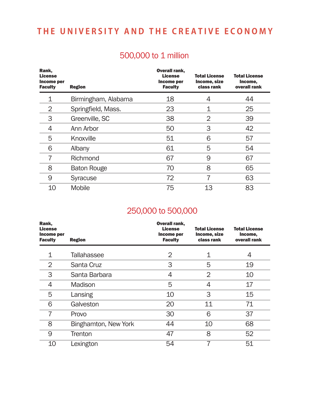### 500,000 to 1 million

| Rank,<br><b>License</b><br>Income per<br><b>Faculty</b> | <b>Region</b>       | <b>Overall rank,</b><br><b>License</b><br>Income per<br><b>Faculty</b> | <b>Total License</b><br>Income, size<br>class rank | <b>Total License</b><br>Income,<br>overall rank |
|---------------------------------------------------------|---------------------|------------------------------------------------------------------------|----------------------------------------------------|-------------------------------------------------|
|                                                         | Birmingham, Alabama | 18                                                                     | 4                                                  | 44                                              |
| 2                                                       | Springfield, Mass.  | 23                                                                     |                                                    | 25                                              |
| 3                                                       | Greenville, SC      | 38                                                                     | $\overline{2}$                                     | 39                                              |
| 4                                                       | Ann Arbor           | 50                                                                     | 3                                                  | 42                                              |
| 5                                                       | Knoxville           | 51                                                                     | 6                                                  | 57                                              |
| 6                                                       | Albany              | 61                                                                     | 5                                                  | 54                                              |
| 7                                                       | Richmond            | 67                                                                     | 9                                                  | 67                                              |
| 8                                                       | <b>Baton Rouge</b>  | 70                                                                     | 8                                                  | 65                                              |
| 9                                                       | <b>Syracuse</b>     | 72                                                                     | 7                                                  | 63                                              |
| 10                                                      | <b>Mobile</b>       | 75                                                                     | 13                                                 | 83                                              |

### 250,000 to 500,000

| Rank,<br><b>License</b><br>Income per<br><b>Faculty</b> | <b>Region</b>        | <b>Overall rank,</b><br><b>License</b><br>Income per<br><b>Faculty</b> | <b>Total License</b><br>Income, size<br>class rank | <b>Total License</b><br>Income,<br>overall rank |
|---------------------------------------------------------|----------------------|------------------------------------------------------------------------|----------------------------------------------------|-------------------------------------------------|
|                                                         | <b>Tallahassee</b>   | 2                                                                      | 1                                                  | 4                                               |
| 2                                                       | Santa Cruz           | 3                                                                      | 5                                                  | 19                                              |
| 3                                                       | Santa Barbara        | 4                                                                      | 2                                                  | 10                                              |
| 4                                                       | Madison              | 5                                                                      | 4                                                  | 17                                              |
| 5                                                       | Lansing              | 10                                                                     | 3                                                  | 15                                              |
| 6                                                       | Galveston            | 20                                                                     | 11                                                 | 71                                              |
| 7                                                       | Provo                | 30                                                                     | 6                                                  | 37                                              |
| 8                                                       | Binghamton, New York | 44                                                                     | 10                                                 | 68                                              |
| 9                                                       | <b>Trenton</b>       | 47                                                                     | 8                                                  | 52                                              |
| 10                                                      | Lexington            | 54                                                                     | 7                                                  | 51                                              |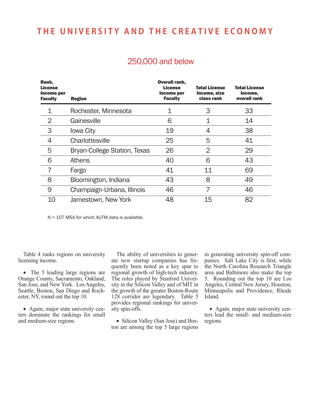| 250,000 and below |  |
|-------------------|--|
|                   |  |

| Rank,<br><b>License</b><br>Income per<br><b>Faculty</b> | <b>Region</b>                       | <b>Overall rank,</b><br>License<br>Income per<br><b>Faculty</b> | <b>Total License</b><br>Income, size<br>class rank | <b>Total License</b><br>Income,<br>overall rank |
|---------------------------------------------------------|-------------------------------------|-----------------------------------------------------------------|----------------------------------------------------|-------------------------------------------------|
| 1                                                       | Rochester, Minnesota                |                                                                 | З                                                  | 33                                              |
| $\overline{2}$                                          | Gainesville                         | 6                                                               | 1                                                  | 14                                              |
| 3                                                       | <b>Iowa City</b>                    | 19                                                              | 4                                                  | 38                                              |
| 4                                                       | Charlottesville                     | 25                                                              | 5                                                  | 41                                              |
| 5                                                       | <b>Bryan-College Station, Texas</b> | 26                                                              | $\overline{2}$                                     | 29                                              |
| 6                                                       | Athens                              | 40                                                              | 6                                                  | 43                                              |
| 7                                                       | Fargo                               | 41                                                              | 11                                                 | 69                                              |
| 8                                                       | Bloomington, Indiana                | 43                                                              | 8                                                  | 49                                              |
| 9                                                       | Champaign-Urbana, Illinois          | 46                                                              | 7                                                  | 46                                              |
| 10                                                      | Jamestown, New York                 | 48                                                              | 15                                                 | 82                                              |

N = 107 MSA for which AUTM data is available.

Table 4 ranks regions on university licensing income.

• The 5 leading large regions are Orange County, Sacramento, Oakland, San Jose, and New York. Los Angeles, Seattle, Boston, San Diego and Rochester, NY, round out the top 10.

• Again, major state university centers dominate the rankings for small and medium-size regions.

The ability of universities to generate new startup companies has frequently been noted as a key spur to regional growth of high-tech industry. The roles played by Stanford University in the Silicon Valley and of MIT in the growth of the greater Boston-Route 128 corridor are legendary. Table 5 provides regional rankings for university spin-offs.

• Silicon Valley (San Jose) and Boston are among the top 5 large regions in generating university spin-off companies. Salt Lake City is first, while the North Carolina Research Triangle area and Baltimore also make the top 5. Rounding out the top 10 are Los Angeles, Central New Jersey, Houston, Minneapolis and Providence, Rhode Island.

• Again, major state university centers lead the small- and medium-size regions.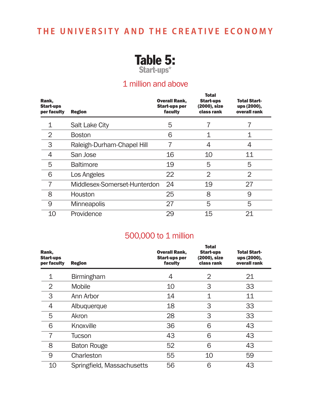

### 1 million and above

| Rank,<br>Start-ups<br>per faculty | <b>Region</b>                | <b>Overall Rank,</b><br><b>Start-ups per</b><br>faculty | <b>Total</b><br><b>Start-ups</b><br>(2000), size<br>class rank | Total Start-<br>ups (2000),<br>overall rank |
|-----------------------------------|------------------------------|---------------------------------------------------------|----------------------------------------------------------------|---------------------------------------------|
|                                   | <b>Salt Lake City</b>        | 5                                                       |                                                                |                                             |
| $\overline{2}$                    | <b>Boston</b>                | 6                                                       | 1                                                              |                                             |
| 3                                 | Raleigh-Durham-Chapel Hill   |                                                         | 4                                                              | 4                                           |
| 4                                 | San Jose                     | 16                                                      | 10                                                             | 11                                          |
| 5                                 | <b>Baltimore</b>             | 19                                                      | 5                                                              | 5                                           |
| 6                                 | Los Angeles                  | 22                                                      | $\overline{2}$                                                 | $\overline{2}$                              |
| 7                                 | Middlesex-Somerset-Hunterdon | 24                                                      | 19                                                             | 27                                          |
| 8                                 | Houston                      | 25                                                      | 8                                                              | 9                                           |
| 9                                 | <b>Minneapolis</b>           | 27                                                      | 5                                                              | 5                                           |
| 10                                | Providence                   | 29                                                      | 15                                                             | 21                                          |

### 500,000 to 1 million

| Rank,<br><b>Start-ups</b><br>per faculty | <b>Region</b>              | <b>Overall Rank,</b><br><b>Start-ups per</b><br>faculty | <b>Total</b><br><b>Start-ups</b><br>(2000), size<br>class rank | <b>Total Start-</b><br>ups (2000),<br>overall rank |
|------------------------------------------|----------------------------|---------------------------------------------------------|----------------------------------------------------------------|----------------------------------------------------|
| 1                                        | <b>Birmingham</b>          | 4                                                       | 2                                                              | 21                                                 |
| 2                                        | <b>Mobile</b>              | 10                                                      | 3                                                              | 33                                                 |
| 3                                        | Ann Arbor                  | 14                                                      | 1                                                              | 11                                                 |
| 4                                        | Albuquerque                | 18                                                      | 3                                                              | 33                                                 |
| 5                                        | Akron                      | 28                                                      | 3                                                              | 33                                                 |
| 6                                        | Knoxville                  | 36                                                      | 6                                                              | 43                                                 |
| $\overline{7}$                           | Tucson                     | 43                                                      | 6                                                              | 43                                                 |
| 8                                        | <b>Baton Rouge</b>         | 52                                                      | 6                                                              | 43                                                 |
| 9                                        | Charleston                 | 55                                                      | 10                                                             | 59                                                 |
| 10                                       | Springfield, Massachusetts | 56                                                      | 6                                                              | 43                                                 |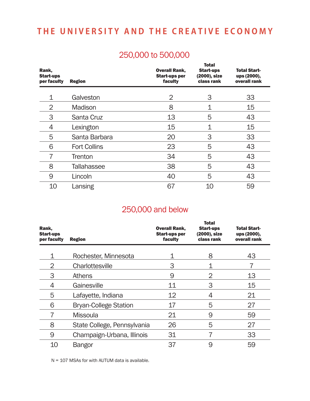### 250,000 to 500,000

| Rank,<br><b>Start-ups</b><br>per faculty | <b>Region</b>       | <b>Overall Rank,</b><br><b>Start-ups per</b><br>faculty | <b>Total</b><br><b>Start-ups</b><br>(2000), size<br>class rank | <b>Total Start-</b><br>ups (2000),<br>overall rank |
|------------------------------------------|---------------------|---------------------------------------------------------|----------------------------------------------------------------|----------------------------------------------------|
| 1                                        | Galveston           | $\overline{2}$                                          | 3                                                              | 33                                                 |
| 2                                        | Madison             | 8                                                       | 1                                                              | 15                                                 |
| 3                                        | Santa Cruz          | 13                                                      | 5                                                              | 43                                                 |
| 4                                        | Lexington           | 15                                                      | 1                                                              | 15                                                 |
| 5                                        | Santa Barbara       | 20                                                      | 3                                                              | 33                                                 |
| 6                                        | <b>Fort Collins</b> | 23                                                      | 5                                                              | 43                                                 |
|                                          | <b>Trenton</b>      | 34                                                      | 5                                                              | 43                                                 |
| 8                                        | <b>Tallahassee</b>  | 38                                                      | 5                                                              | 43                                                 |
| 9                                        | Lincoln             | 40                                                      | 5                                                              | 43                                                 |
| 10                                       | Lansing             | 67                                                      | 10                                                             | 59                                                 |

### 250,000 and below

| Rank,<br><b>Start-ups</b><br>per faculty | <b>Region</b>                | <b>Overall Rank,</b><br><b>Start-ups per</b><br>faculty | <b>Total</b><br><b>Start-ups</b><br>(2000), size<br>class rank | <b>Total Start-</b><br>ups (2000),<br>overall rank |
|------------------------------------------|------------------------------|---------------------------------------------------------|----------------------------------------------------------------|----------------------------------------------------|
| 1                                        | Rochester, Minnesota         |                                                         | 8                                                              | 43                                                 |
| 2                                        | Charlottesville              | 3                                                       |                                                                |                                                    |
| 3                                        | <b>Athens</b>                | 9                                                       | 2                                                              | 13                                                 |
| 4                                        | Gainesville                  | 11                                                      | 3                                                              | 15                                                 |
| 5                                        | Lafayette, Indiana           | 12                                                      | 4                                                              | 21                                                 |
| 6                                        | <b>Bryan-College Station</b> | 17                                                      | 5                                                              | 27                                                 |
| 7                                        | <b>Missoula</b>              | 21                                                      | 9                                                              | 59                                                 |
| 8                                        | State College, Pennsylvania  | 26                                                      | 5                                                              | 27                                                 |
| 9                                        | Champaign-Urbana, Illinois   | 31                                                      | 7                                                              | 33                                                 |
| 10                                       | <b>Bangor</b>                | 37                                                      | 9                                                              | 59                                                 |

N = 107 MSAs for with AUTUM data is available.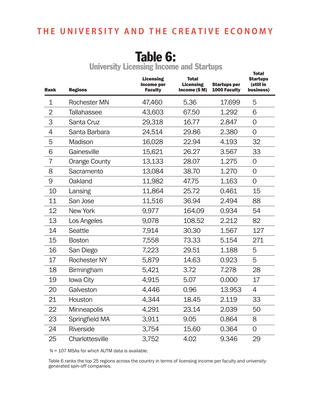# Table 6:

|                | ---------            |                                                         |                                                   |                                     |                                                           |
|----------------|----------------------|---------------------------------------------------------|---------------------------------------------------|-------------------------------------|-----------------------------------------------------------|
| <b>Rank</b>    | <b>Regions</b>       | <b>Licensing</b><br><b>Income per</b><br><b>Faculty</b> | <b>Total</b><br><b>Licensing</b><br>Income (\$ M) | <b>Startups per</b><br>1000 Faculty | <b>Total</b><br><b>Startups</b><br>(still in<br>business) |
| 1              | <b>Rochester MN</b>  | 47,460                                                  | 5.36                                              | 17.699                              | 5                                                         |
| $\overline{2}$ | <b>Tallahassee</b>   | 43,603                                                  | 67.50                                             | 1.292                               | 6                                                         |
| 3              | Santa Cruz           | 29,318                                                  | 16.77                                             | 2.847                               | $\overline{0}$                                            |
| 4              | Santa Barbara        | 24,514                                                  | 29.86                                             | 2.380                               | $\overline{O}$                                            |
| 5              | Madison              | 16,028                                                  | 22.94                                             | 4.193                               | 32                                                        |
| 6              | Gainesville          | 15,621                                                  | 26.27                                             | 3.567                               | 33                                                        |
| $\overline{7}$ | <b>Orange County</b> | 13,133                                                  | 28.07                                             | 1.275                               | $\overline{0}$                                            |
| 8              | Sacramento           | 13,084                                                  | 38.70                                             | 1.270                               | $\mathsf{O}$                                              |
| 9              | Oakland              | 11,982                                                  | 47.75                                             | 1.163                               | $\overline{0}$                                            |
| 10             | Lansing              | 11,864                                                  | 25.72                                             | 0.461                               | 15                                                        |
| 11             | San Jose             | 11,516                                                  | 36.94                                             | 2.494                               | 88                                                        |
| 12             | New York             | 9,977                                                   | 164.09                                            | 0.934                               | 54                                                        |
| 13             | Los Angeles          | 9,078                                                   | 108.52                                            | 2.212                               | 82                                                        |
| 14             | <b>Seattle</b>       | 7,914                                                   | 30.30                                             | 1.567                               | 127                                                       |
| 15             | <b>Boston</b>        | 7,558                                                   | 73.33                                             | 5.154                               | 271                                                       |
| 16             | San Diego            | 7,223                                                   | 29.51                                             | 1.188                               | 5                                                         |
| 17             | <b>Rochester NY</b>  | 5,879                                                   | 14.63                                             | 0.923                               | 5                                                         |
| 18             | <b>Birmingham</b>    | 5,421                                                   | 3.72                                              | 7.278                               | 28                                                        |
| 19             | Iowa City            | 4,915                                                   | 5.07                                              | 0.000                               | 17                                                        |
| 20             | Galveston            | 4,446                                                   | 0.96                                              | 13.953                              | 4                                                         |
| 21             | Houston              | 4,344                                                   | 18.45                                             | 2.119                               | 33                                                        |
| 22             | <b>Minneapolis</b>   | 4,291                                                   | 23.14                                             | 2.039                               | 50                                                        |
| 23             | Springfield MA       | 3,911                                                   | 9.05                                              | 0.864                               | 8                                                         |
| 24             | Riverside            | 3,754                                                   | 15.60                                             | 0.364                               | $\mathbf 0$                                               |
| 25             | Charlottesville      | 3,752                                                   | 4.02                                              | 9.346                               | 29                                                        |

University Licensing Income and Startups

N = 107 MSAs for which AUTM data is available.

Table 6 ranks the top 25 regions across the country in terms of licensing income per faculty and universitygenerated spin-off companies.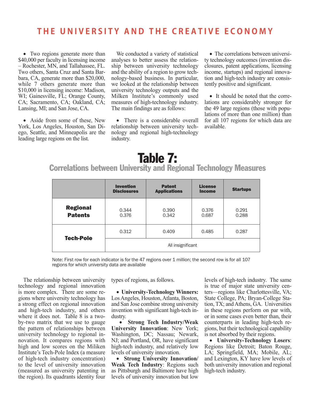• Two regions generate more than \$40,000 per faculty in licensing income – Rochester, MN, and Tallahassee, FL. Two others, Santa Cruz and Santa Barbara, CA, generate more than \$20,000, while 7 others generate more than \$10,000 in licensing income: Madison, WI; Gainesville, FL; Orange County, CA; Sacramento, CA; Oakland, CA; Lansing, MI; and San Jose, CA.

• Aside from some of these, New York, Los Angeles, Houston, San Diego, Seattle, and Minneapolis are the leading large regions on the list.

We conducted a variety of statistical analyses to better assess the relationship between university technology and the ability of a region to grow technology-based business. In particular, we looked at the relationship between university technology outputs and the Milken Institute's commonly used measures of high-technology industry. The main findings are as follows:

• There is a considerable overall relationship between university technology and regional high-technology industry.

• The correlations between university technology outcomes (invention disclosures, patent applications, licensing income, startups) and regional innovation and high-tech industry are consistently positive and significant.

• It should be noted that the correlations are considerably stronger for the 49 large regions (those with populations of more than one million) than for all 107 regions for which data are available.

# Table 7:

Correlations between University and Regional Technology Measures

|                                   | <b>Invention</b><br><b>Disclosures</b> | <b>Patent</b><br><b>Applications</b> | <b>License</b><br><b>Income</b> | <b>Startups</b> |
|-----------------------------------|----------------------------------------|--------------------------------------|---------------------------------|-----------------|
| <b>Regional</b><br><b>Patents</b> | 0.344<br>0.376                         | 0.390<br>0.342                       | 0.376<br>0.687                  | 0.291<br>0.288  |
| <b>Tech-Pole</b>                  | 0.312                                  | 0.409                                | 0.485                           | 0.287           |
|                                   | All insignificant                      |                                      |                                 |                 |

Note: First row for each indicator is for the 47 regions over 1 million; the second row is for all 107 regions for which university data are available

The relationship between university technology and regional innovation is more complex. There are some regions where university technology has a strong effect on regional innovation and high-tech industry, and others where it does not. Table 8 is a twoby-two matrix that we use to gauge the pattern of relationships between university technology to regional innovation. It compares regions with high and low scores on the Miliken Institute's Tech-Pole Index (a measure of high-tech industry concentration) to the level of university innovation (measured as university patenting in the region). Its quadrants identity four

types of regions, as follows.

• **University-Technology Winners:** Los Angeles, Houston, Atlanta, Boston, and San Jose combine strong university invention with significant high-tech industry.

• **Strong Tech Industry/Weak University Innovation**: New York; Washington, DC; Nassau; Newark, NJ; and Portland, OR, have significant high-tech industry, and relatively low levels of university innovation.

• **Strong University Innovation/ Weak Tech Industry**: Regions such as Pittsburgh and Baltimore have high levels of university innovation but low

levels of high-tech industry. The same is true of major state university centers—regions like Charlottesville, VA; State College, PA; Bryan-College Station, TX; and Athens, GA. Universities in these regions perform on par with, or in some cases even better than, their counterparts in leading high-tech regions, but their technological capability is not absorbed by their regions.

• **University-Technology Losers**: Regions like Detroit; Baton Rouge, LA; Springfield, MA; Mobile, AL; and Lexington, KY have low levels of both university innovation and regional high-tech industry.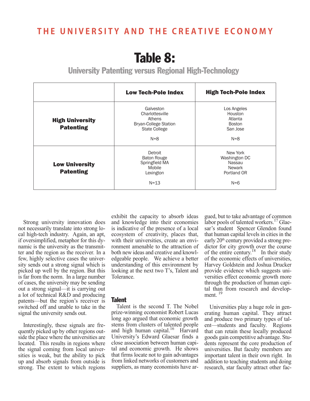# Table 8:

University Patenting versus Regional High-Technology

|                                            | <b>Low Tech-Pole Index</b>                                                                         | <b>High Tech-Pole Index</b>                                                  |
|--------------------------------------------|----------------------------------------------------------------------------------------------------|------------------------------------------------------------------------------|
| <b>High University</b><br><b>Patenting</b> | Galveston<br>Charlottesville<br>Athens<br><b>Bryan-College Station</b><br>State College<br>$N = 8$ | Los Angeles<br>Houston<br>Atlanta<br><b>Boston</b><br>San Jose<br>$N = 8$    |
| <b>Low University</b><br><b>Patenting</b>  | Detroit<br><b>Baton Rouge</b><br>Springfield MA<br>Mobile<br>Lexington<br>$N = 13$                 | New York<br>Washington DC<br>Nassau<br><b>Newark</b><br>Portland OR<br>$N=6$ |

Strong university innovation does not necessarily translate into strong local high-tech industry. Again, an apt, if oversimplified, metaphor for this dynamic is the university as the transmitter and the region as the receiver*.* In a few, highly selective cases the university sends out a strong signal which is picked up well by the region. But this is far from the norm. In a large number of cases, the university may be sending out a strong signal—it is carrying out a lot of technical R&D and producing patents—but the region's receiver is switched off and unable to take in the signal the university sends out.

Interestingly, these signals are frequently picked up by other regions outside the place where the universities are located. This results in regions where the signal coming from local universities is weak, but the ability to pick up and absorb signals from outside is strong. The extent to which regions

exhibit the capacity to absorb ideas and knowledge into their economies is indicative of the presence of a local ecosystem of creativity, places that, with their universities, create an environment amenable to the attraction of both new ideas and creative and knowledgeable people. We achieve a better understanding of this environment by looking at the next two T's, Talent and Tolerance.

#### Talent

Talent is the second T. The Nobel prize-winning economist Robert Lucas long ago argued that economic growth stems from clusters of talented people and high human capital.16 Harvard University's Edward Glaesar finds a close association between human capital and economic growth. He shows that firms locate not to gain advantages from linked networks of customers and suppliers, as many economists have argued, but to take advantage of common labor pools of talented workers.<sup>17</sup> Glaesar's student Spencer Glendon found that human capital levels in cities in the early 20<sup>th</sup> century provided a strong predictor for city growth over the course of the entire century.<sup>18</sup> In their study of the economic effects of universities, Harvey Goldstein and Joshua Drucker provide evidence which suggests universities effect economic growth more through the production of human capital than from research and development. $<sup>1</sup>$ </sup>

Universities play a huge role in generating human capital. They attract and produce two primary types of talent—students and faculty. Regions that can retain these locally produced goods gain competitive advantage. Students represent the core production of universities. But faculty members are important talent in their own right. In addition to teaching students and doing research, star faculty attract other fac-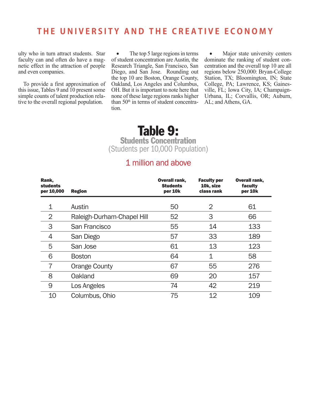ulty who in turn attract students. Star faculty can and often do have a magnetic effect in the attraction of people and even companies.

To provide a first approximation of this issue, Tables 9 and 10 present some simple counts of talent production relative to the overall regional population.

• The top 5 large regions in terms of student concentration are Austin, the Research Triangle, San Francisco, San Diego, and San Jose. Rounding out the top 10 are Boston, Orange County, Oakland, Los Angeles and Columbus, OH. But it is important to note here that none of these large regions ranks higher than  $50<sup>th</sup>$  in terms of student concentration.

• Major state university centers dominate the ranking of student concentration and the overall top 10 are all regions below 250,000: Bryan-College Station, TX; Bloomington, IN; State College, PA; Lawrence, KS; Gainesville, FL; Iowa City, IA; Champaign-Urbana, IL; Corvallis, OR; Auburn, AL; and Athens, GA.

### Table 9:

Students Concentration (Students per 10,000 Population)

### 1 million and above

| Rank,<br><b>students</b><br>per 10,000 | <b>Region</b>              | <b>Overall rank,</b><br><b>Students</b><br>per 10k | <b>Faculty per</b><br>10k, size<br>class rank | <b>Overall rank,</b><br>faculty<br>per 10k |
|----------------------------------------|----------------------------|----------------------------------------------------|-----------------------------------------------|--------------------------------------------|
| 1                                      | Austin                     | 50                                                 | 2                                             | 61                                         |
| $\overline{2}$                         | Raleigh-Durham-Chapel Hill | 52                                                 | 3                                             | 66                                         |
| 3                                      | San Francisco              | 55                                                 | 14                                            | 133                                        |
| 4                                      | San Diego                  | 57                                                 | 33                                            | 189                                        |
| 5                                      | San Jose                   | 61                                                 | 13                                            | 123                                        |
| 6                                      | <b>Boston</b>              | 64                                                 | 1                                             | 58                                         |
| $\overline{7}$                         | <b>Orange County</b>       | 67                                                 | 55                                            | 276                                        |
| 8                                      | Oakland                    | 69                                                 | 20                                            | 157                                        |
| 9                                      | Los Angeles                | 74                                                 | 42                                            | 219                                        |
| 10                                     | Columbus, Ohio             | 75                                                 | 12                                            | 109                                        |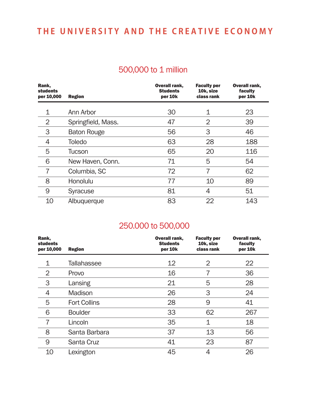### 500,000 to 1 million

| Rank,<br><b>students</b><br>per 10,000 | <b>Region</b>      | <b>Overall rank,</b><br><b>Students</b><br>per 10k | <b>Faculty per</b><br>10k, size<br>class rank | Overall rank,<br>faculty<br>per 10k |
|----------------------------------------|--------------------|----------------------------------------------------|-----------------------------------------------|-------------------------------------|
| 1                                      | Ann Arbor          | 30                                                 |                                               | 23                                  |
| 2                                      | Springfield, Mass. | 47                                                 | 2                                             | 39                                  |
| 3                                      | <b>Baton Rouge</b> | 56                                                 | 3                                             | 46                                  |
| 4                                      | <b>Toledo</b>      | 63                                                 | 28                                            | 188                                 |
| 5                                      | Tucson             | 65                                                 | 20                                            | 116                                 |
| 6                                      | New Haven, Conn.   | 71                                                 | 5                                             | 54                                  |
|                                        | Columbia, SC       | 72                                                 |                                               | 62                                  |
| 8                                      | Honolulu           | 77                                                 | 10                                            | 89                                  |
| 9                                      | <b>Syracuse</b>    | 81                                                 | 4                                             | 51                                  |
| 10                                     | Albuquerque        | 83                                                 | 22                                            | 143                                 |

### 250.000 to 500,000

| Rank,<br><b>students</b><br>per 10,000 | <b>Region</b>       | <b>Overall rank,</b><br><b>Students</b><br>per 10k | <b>Faculty per</b><br>10k, size<br>class rank | <b>Overall rank,</b><br>faculty<br>per 10k |
|----------------------------------------|---------------------|----------------------------------------------------|-----------------------------------------------|--------------------------------------------|
| 1                                      | <b>Tallahassee</b>  | $12 \overline{ }$                                  | 2                                             | 22                                         |
| 2                                      | Provo               | 16                                                 |                                               | 36                                         |
| 3                                      | Lansing             | 21                                                 | 5                                             | 28                                         |
| 4                                      | Madison             | 26                                                 | 3                                             | 24                                         |
| 5                                      | <b>Fort Collins</b> | 28                                                 | 9                                             | 41                                         |
| 6                                      | <b>Boulder</b>      | 33                                                 | 62                                            | 267                                        |
| 7                                      | Lincoln             | 35                                                 | 1                                             | 18                                         |
| 8                                      | Santa Barbara       | 37                                                 | 13                                            | 56                                         |
| 9                                      | Santa Cruz          | 41                                                 | 23                                            | 87                                         |
| 10                                     | Lexington           | 45                                                 | 4                                             | 26                                         |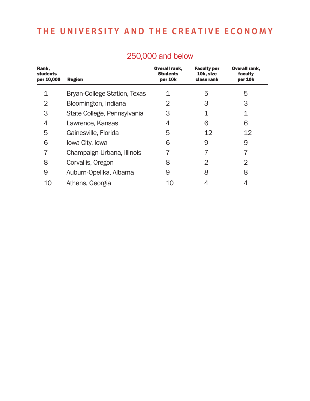| 250,000 and below |
|-------------------|
|                   |

| Rank,<br><b>students</b><br>per 10,000 | <b>Region</b>                       | <b>Overall rank,</b><br><b>Students</b><br>per 10k | <b>Faculty per</b><br>10k, size<br>class rank | <b>Overall rank,</b><br>faculty<br>per 10k |
|----------------------------------------|-------------------------------------|----------------------------------------------------|-----------------------------------------------|--------------------------------------------|
|                                        | <b>Bryan-College Station, Texas</b> |                                                    | 5                                             | 5                                          |
| 2                                      | Bloomington, Indiana                | 2                                                  | 3                                             | 3                                          |
| 3                                      | State College, Pennsylvania         | 3                                                  |                                               |                                            |
| 4                                      | Lawrence, Kansas                    | 4                                                  | 6                                             | 6                                          |
| 5                                      | Gainesville, Florida                | 5                                                  | 12                                            | 12                                         |
| 6                                      | Iowa City, Iowa                     | 6                                                  | 9                                             | 9                                          |
| 7                                      | Champaign-Urbana, Illinois          | 7                                                  | 7                                             | 7                                          |
| 8                                      | Corvallis, Oregon                   | 8                                                  | $\overline{2}$                                | 2                                          |
| 9                                      | Auburn-Opelika, Albama              | 9                                                  | 8                                             | 8                                          |
| 10                                     | Athens, Georgia                     |                                                    |                                               | 4                                          |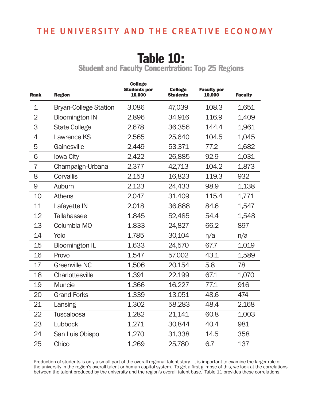# Table 10:

Student and Faculty Concentration: Top 25 Regions

| Rank           | <b>Region</b>                | <b>College</b><br><b>Students per</b><br>10,000 | <b>College</b><br><b>Students</b> | <b>Faculty per</b><br>10,000 | <b>Faculty</b> |
|----------------|------------------------------|-------------------------------------------------|-----------------------------------|------------------------------|----------------|
| $\mathbf 1$    | <b>Bryan-College Station</b> | 3,086                                           | 47,039                            | 108.3                        | 1,651          |
| $\overline{2}$ | <b>Bloomington IN</b>        | 2,896                                           | 34,916                            | 116.9                        | 1,409          |
| 3              | <b>State College</b>         | 2,678                                           | 36,356                            | 144.4                        | 1,961          |
| 4              | Lawrence KS                  | 2,565                                           | 25,640                            | 104.5                        | 1,045          |
| 5              | Gainesville                  | 2,449                                           | 53,371                            | 77.2                         | 1,682          |
| 6              | Iowa City                    | 2,422                                           | 26,885                            | 92.9                         | 1,031          |
| $\overline{7}$ | Champaign-Urbana             | 2,377                                           | 42,713                            | 104.2                        | 1,873          |
| 8              | Corvallis                    | 2,153                                           | 16,823                            | 119.3                        | 932            |
| $\Theta$       | Auburn                       | 2,123                                           | 24,433                            | 98.9                         | 1,138          |
| 10             | <b>Athens</b>                | 2,047                                           | 31,409                            | 115.4                        | 1,771          |
| 11             | Lafayette IN                 | 2,018                                           | 36,888                            | 84.6                         | 1,547          |
| 12             | <b>Tallahassee</b>           | 1,845                                           | 52,485                            | 54.4                         | 1,548          |
| 13             | Columbia MO                  | 1,833                                           | 24,827                            | 66.2                         | 897            |
| 14             | Yolo                         | 1,785                                           | 30,104                            | n/a                          | n/a            |
| 15             | <b>Bloomington IL</b>        | 1,633                                           | 24,570                            | 67.7                         | 1,019          |
| 16             | Provo                        | 1,547                                           | 57,002                            | 43.1                         | 1,589          |
| 17             | <b>Greenville NC</b>         | 1,506                                           | 20,154                            | 5.8                          | 78             |
| 18             | Charlottesville              | 1,391                                           | 22,199                            | 67.1                         | 1,070          |
| 19             | <b>Muncie</b>                | 1,366                                           | 16,227                            | 77.1                         | 916            |
| 20             | <b>Grand Forks</b>           | 1,339                                           | 13,051                            | 48.6                         | 474            |
| 21             | Lansing                      | 1,302                                           | 58,283                            | 48.4                         | 2,168          |
| 22             | <b>Tuscaloosa</b>            | 1,282                                           | 21,141                            | 60.8                         | 1,003          |
| 23             | Lubbock                      | 1,271                                           | 30,844                            | 40.4                         | 981            |
| 24             | San Luis Obispo              | 1,270                                           | 31,338                            | 14.5                         | 358            |
| 25             | Chico                        | 1,269                                           | 25,780                            | 6.7                          | 137            |

Production of students is only a small part of the overall regional talent story. It is important to examine the larger role of the university in the region's overall talent or human capital system. To get a first glimpse of this, we look at the correlations between the talent produced by the university and the region's overall talent base. Table 11 provides these correlations.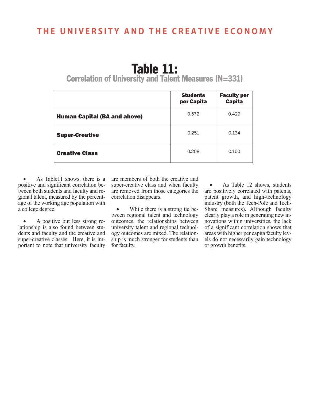## Table 11:

Correlation of University and Talent Measures (N=331)

|                                     | <b>Students</b><br>per Capita | <b>Faculty per</b><br><b>Capita</b> |
|-------------------------------------|-------------------------------|-------------------------------------|
| <b>Human Capital (BA and above)</b> | 0.572                         | 0.429                               |
| <b>Super-Creative</b>               | 0.251                         | 0.134                               |
| <b>Creative Class</b>               | 0.208                         | 0.150                               |

As Table11 shows, there is a positive and significant correlation between both students and faculty and regional talent, measured by the percentage of the working age population with a college degree.

• A positive but less strong relationship is also found between students and faculty and the creative and super-creative classes. Here, it is important to note that university faculty are members of both the creative and super-creative class and when faculty are removed from those categories the correlation disappears.

While there is a strong tie between regional talent and technology outcomes, the relationships between university talent and regional technology outcomes are mixed. The relationship is much stronger for students than for faculty.

As Table 12 shows, students are positively correlated with patents, patent growth, and high-technology industry (both the Tech-Pole and Tech-Share measures). Although faculty clearly play a role in generating new innovations within universities, the lack of a significant correlation shows that areas with higher per capita faculty levels do not necessarily gain technology or growth benefits.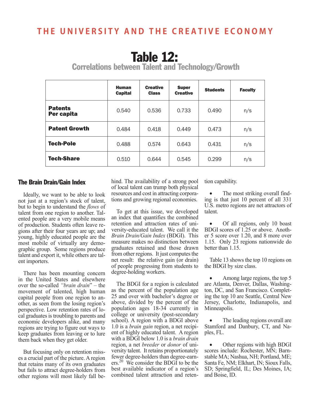## Table 12:

Human **Capital Creative** Class Super super students Faculty Patents<br>Per capita **Per capita**  $\left[\begin{array}{ccc} 0.540 & 0.536 & 0.733 & 0.490 & n/s \end{array}\right]$ **Patent Growth**  $0.484$   $0.418$   $0.449$   $0.473$  n/s Tech-Pole | 0.488 | 0.574 | 0.643 | 0.431 | n/s **Tech-Share**  $0.510 \t 0.644 \t 0.545 \t 0.299 \t n/s$ 

Correlations between Talent and Technology/Growth

#### The Brain Drain/Gain Index

Ideally, we want to be able to look not just at a region's stock of talent, but to begin to understand the *flows* of talent from one region to another. Talented people are a very mobile means of production. Students often leave regions after their four years are up; and young, highly educated people are the most mobile of virtually any demographic group. Some regions produce talent and export it, while others are talent importers.

There has been mounting concern in the United States and elsewhere over the so-called *"brain drain*" – the movement of talented, high human capital people from one region to another, as seen from the losing region's perspective. Low retention rates of local graduates is troubling to parents and economic developers alike, and many regions are trying to figure out ways to keep graduates from leaving or to lure them back when they get older.

But focusing only on retention misses a crucial part of the picture. A region that retains many of its own graduates but fails to attract degree-holders from other regions will most likely fall be-

hind. The availability of a strong pool of local talent can trump both physical resources and cost in attracting corporations and growing regional economies.

To get at this issue, we developed an index that quantifies the combined retention and attraction rates of university-educated talent. We call it the *Brain Drain/Gain Index* (BDGI). This measure makes no distinction between graduates retained and those drawn from other regions. It just computes the net result: the relative gain (or drain) of people progressing from students to degree-holding workers.

The BDGI for a region is calculated as the percent of the population age 25 and over with bachelor's degree or above, divided by the percent of the population ages 18-34 currently in college or university (post-secondary school). A region with a BDGI above 1.0 is a *brain gain* region, a net recipient of highly educated talent. A region with a BDGI below 1.0 is a *brain drain* region, a net *breeder* or *donor* of university talent. It retains proportionately fewer degree-holders than degree-earners.20 We consider the BDGI to be the best available indicator of a region's combined talent attraction and retention capability.

The most striking overall finding is that just 10 percent of all 331 U.S. metro regions are net attractors of talent.

• Of all regions, only 10 boast BDGI scores of 1.25 or above. Another 5 score over 1.20, and 8 more over 1.15. Only 23 regions nationwide do better than 1.15.

Table 13 shows the top 10 regions on the BDGI by size class.

Among large regions, the top 5 are Atlanta, Denver, Dallas, Washington, DC, and San Francisco. Completing the top 10 are Seattle, Central New Jersey, Charlotte, Indianapolis, and Minneapolis.

The leading regions overall are Stamford and Danbury, CT, and Naples, FL.

• Other regions with high BDGI scores include: Rochester, MN; Barnstable MA; Nashua, NH; Portland, ME; Santa Fe, NM; Elkhart, IN; Sioux Falls, SD; Springfield, IL; Des Moines, IA; and Boise, ID.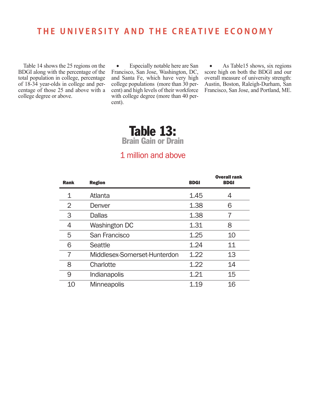Table 14 shows the 25 regions on the BDGI along with the percentage of the total population in college, percentage of 18-34 year-olds in college and percentage of those 25 and above with a college degree or above.

• Especially notable here are San Francisco, San Jose, Washington, DC, and Santa Fe, which have very high college populations (more than 30 percent) and high levels of their workforce with college degree (more than 40 percent).

As Table15 shows, six regions score high on both the BDGI and our overall measure of university strength: Austin, Boston, Raleigh-Durham, San Francisco, San Jose, and Portland, ME.

# Table 13:

Brain Gain or Drain

### 1 million and above

| <b>Rank</b> | <b>Region</b>                | <b>BDGI</b> | <b>Overall rank</b><br><b>BDGI</b> |
|-------------|------------------------------|-------------|------------------------------------|
| 1           | Atlanta                      | 1.45        |                                    |
| 2           | Denver                       | 1.38        | 6                                  |
| 3           | <b>Dallas</b>                | 1.38        |                                    |
| 4           | Washington DC                | 1.31        | 8                                  |
| 5           | San Francisco                | 1.25        | 10                                 |
| 6           | Seattle                      | 1.24        | 11                                 |
|             | Middlesex-Somerset-Hunterdon | 1.22        | 13                                 |
| 8           | Charlotte                    | 1.22        | 14                                 |
| 9           | Indianapolis                 | 1.21        | 15                                 |
| 10          | <b>Minneapolis</b>           | 1.19        | 16                                 |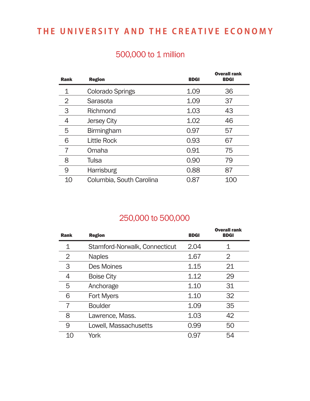### 500,000 to 1 million

| <b>Rank</b> | <b>Region</b>            | <b>BDGI</b> | <b>Overall rank</b><br><b>BDGI</b> |
|-------------|--------------------------|-------------|------------------------------------|
| 1           | <b>Colorado Springs</b>  | 1.09        | 36                                 |
| 2           | Sarasota                 | 1.09        | 37                                 |
| 3           | Richmond                 | 1.03        | 43                                 |
| 4           | <b>Jersey City</b>       | 1.02        | 46                                 |
| 5           | <b>Birmingham</b>        | 0.97        | 57                                 |
| 6           | <b>Little Rock</b>       | 0.93        | 67                                 |
| 7           | Omaha                    | 0.91        | 75                                 |
| 8           | Tulsa                    | 0.90        | 79                                 |
| 9           | <b>Harrisburg</b>        | 0.88        | 87                                 |
| 10          | Columbia, South Carolina | 0.87        | 100                                |

### 250,000 to 500,000

| <b>Rank</b> | <b>Region</b>                 | <b>BDGI</b> | <b>Overall rank</b><br><b>BDGI</b> |
|-------------|-------------------------------|-------------|------------------------------------|
| 1           | Stamford-Norwalk, Connecticut | 2.04        | 1                                  |
| 2           | <b>Naples</b>                 | 1.67        | 2                                  |
| 3           | Des Moines                    | 1.15        | 21                                 |
|             | <b>Boise City</b>             | 1.12        | 29                                 |
| 5           | Anchorage                     | 1.10        | 31                                 |
| 6           | <b>Fort Myers</b>             | 1.10        | 32                                 |
| 7           | <b>Boulder</b>                | 1.09        | 35                                 |
| 8           | Lawrence, Mass.               | 1.03        | 42                                 |
| 9           | Lowell, Massachusetts         | 0.99        | 50                                 |
| 10          | York                          | 0.97        | 54                                 |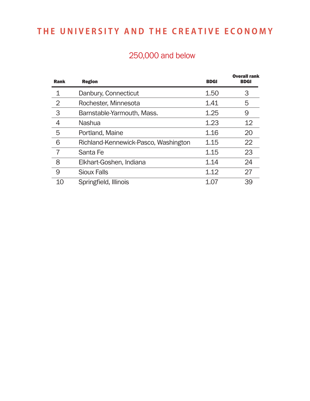### 250,000 and below

| <b>Rank</b> | <b>Region</b>                        | <b>BDGI</b> | <b>Overall rank</b><br><b>BDGI</b> |
|-------------|--------------------------------------|-------------|------------------------------------|
|             | Danbury, Connecticut                 | 1.50        | 3                                  |
| 2           | Rochester, Minnesota                 | 1.41        | 5                                  |
| 3           | Barnstable-Yarmouth, Mass.           | 1.25        | 9                                  |
|             | <b>Nashua</b>                        | 1.23        | $12 \overline{ }$                  |
| 5           | Portland, Maine                      | 1.16        | 20                                 |
| 6           | Richland-Kennewick-Pasco, Washington | 1.15        | 22                                 |
|             | Santa Fe                             | 1.15        | 23                                 |
| 8           | Elkhart-Goshen, Indiana              | 1.14        | 24                                 |
| 9           | <b>Sioux Falls</b>                   | 1.12        | 27                                 |
| 10          | Springfield, Illinois                | 1.07        | 39                                 |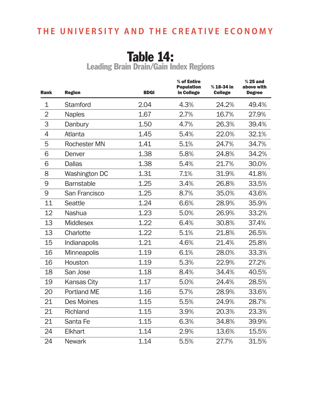# Table 14:

Leading Brain Drain/Gain Index Regions

| <b>Rank</b>    | <b>Region</b>       | <b>BDGI</b> | % of Entire<br><b>Population</b><br>in College | % 18-34 in<br><b>College</b> | $% 25$ and<br>above with<br><b>Degree</b> |
|----------------|---------------------|-------------|------------------------------------------------|------------------------------|-------------------------------------------|
| $\mathbf 1$    | <b>Stamford</b>     | 2.04        | 4.3%                                           | 24.2%                        | 49.4%                                     |
| $\overline{2}$ | <b>Naples</b>       | 1.67        | 2.7%                                           | 16.7%                        | 27.9%                                     |
| 3              | Danbury             | 1.50        | 4.7%                                           | 26.3%                        | 39.4%                                     |
| 4              | Atlanta             | 1.45        | 5.4%                                           | 22.0%                        | 32.1%                                     |
| 5              | <b>Rochester MN</b> | 1.41        | 5.1%                                           | 24.7%                        | 34.7%                                     |
| 6              | Denver              | 1.38        | 5.8%                                           | 24.8%                        | 34.2%                                     |
| 6              | <b>Dallas</b>       | 1.38        | 5.4%                                           | 21.7%                        | 30.0%                                     |
| 8              | Washington DC       | 1.31        | 7.1%                                           | 31.9%                        | 41.8%                                     |
| 9              | <b>Barnstable</b>   | 1.25        | 3.4%                                           | 26.8%                        | 33.5%                                     |
| 9              | San Francisco       | 1.25        | 8.7%                                           | 35.0%                        | 43.6%                                     |
| 11             | <b>Seattle</b>      | 1.24        | 6.6%                                           | 28.9%                        | 35.9%                                     |
| 12             | <b>Nashua</b>       | 1.23        | 5.0%                                           | 26.9%                        | 33.2%                                     |
| 13             | <b>Middlesex</b>    | 1.22        | 6.4%                                           | 30.8%                        | 37.4%                                     |
| 13             | Charlotte           | 1.22        | 5.1%                                           | 21.8%                        | 26.5%                                     |
| 15             | Indianapolis        | 1.21        | 4.6%                                           | 21.4%                        | 25.8%                                     |
| 16             | <b>Minneapolis</b>  | 1.19        | 6.1%                                           | 28.0%                        | 33.3%                                     |
| 16             | Houston             | 1.19        | 5.3%                                           | 22.9%                        | 27.2%                                     |
| 18             | San Jose            | 1.18        | 8.4%                                           | 34.4%                        | 40.5%                                     |
| 19             | <b>Kansas City</b>  | 1.17        | 5.0%                                           | 24.4%                        | 28.5%                                     |
| 20             | <b>Portland ME</b>  | 1.16        | 5.7%                                           | 28.9%                        | 33.6%                                     |
| 21             | <b>Des Moines</b>   | 1.15        | 5.5%                                           | 24.9%                        | 28.7%                                     |
| 21             | Richland            | 1.15        | 3.9%                                           | 20.3%                        | 23.3%                                     |
| 21             | Santa Fe            | 1.15        | 6.3%                                           | 34.8%                        | 39.9%                                     |
| 24             | <b>Elkhart</b>      | 1.14        | 2.9%                                           | 13.6%                        | 15.5%                                     |
| 24             | <b>Newark</b>       | 1.14        | 5.5%                                           | 27.7%                        | 31.5%                                     |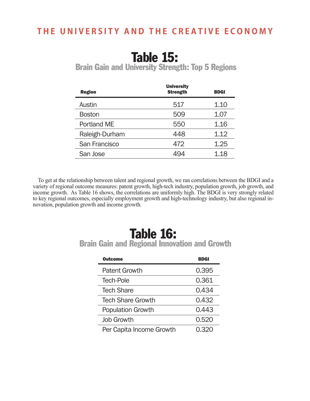## Table 15:

Brain Gain and University Strength: Top 5 Regions

| <b>Region</b>  | <b>University</b><br><b>Strength</b> | <b>BDGI</b> |
|----------------|--------------------------------------|-------------|
| Austin         | 517                                  | 1.10        |
| <b>Boston</b>  | 509                                  | 1.07        |
| Portland ME    | 550                                  | 1.16        |
| Raleigh-Durham | 448                                  | 1.12        |
| San Francisco  | 472                                  | 1.25        |
| San Jose       |                                      | 1.18        |

To get at the relationship between talent and regional growth, we ran correlations between the BDGI and a variety of regional outcome measures: patent growth, high-tech industry, population growth, job growth, and income growth. As Table 16 shows, the correlations are uniformly high. The BDGI is very strongly related to key regional outcomes, especially employment growth and high-technology industry, but also regional innovation, population growth and income growth.

### Table 16: Brain Gain and Regional Innovation and Growth

| Outcome                  | BDGI  |
|--------------------------|-------|
| <b>Patent Growth</b>     | 0.395 |
| Tech-Pole                | 0.361 |
| <b>Tech Share</b>        | 0.434 |
| <b>Tech Share Growth</b> | 0.432 |
| <b>Population Growth</b> | 0.443 |
| <b>Job Growth</b>        | 0.520 |
| Per Capita Income Growth | 0.320 |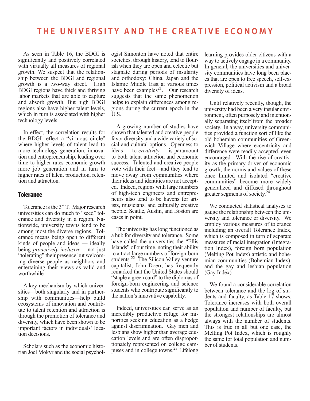As seen in Table 16, the BDGI is significantly and positively correlated with virtually all measures of regional growth. We suspect that the relationship between the BDGI and regional growth is a two-way street. High BDGI regions have thick and thriving labor markets that are able to capture and absorb growth. But high BDGI regions also have higher talent levels, which in turn is associated with higher technology levels.

In effect, the correlation results for the BDGI reflect a "virtuous circle" where higher levels of talent lead to more technology generation, innovation and entrepreneurship, leading over time to higher rates economic growth more job generation and in turn to higher rates of talent production, retention and attraction.

#### **Tolerance**

Tolerance is the 3rd T. Major research universities can do much to "seed" tolerance and diversity in a region. Nationwide, university towns tend to be among most the diverse regions. Tolerance means being open to different kinds of people and ideas — ideally being *proactively inclusive* – not just "tolerating" their presence but welcoming diverse people as neighbors and entertaining their views as valid and worthwhile.

A key mechanism by which universities—both singularly and in partnership with communities—help build ecosystems of innovation and contribute to talent retention and attraction is through the promotion of tolerance and diversity, which have been shown to be important factors in individuals' location decisions.

Scholars such as the economic historian Joel Mokyr and the social psychologist Simonton have noted that entire societies, through history, tend to flourish when they are open and eclectic but stagnate during periods of insularity and orthodoxy: China, Japan and the Islamic Middle East at various times have been examples $^{21}$ . Our research suggests that the same phenomenon helps to explain differences among regions during the current epoch in the U.S.

A growing number of studies have shown that talented and creative people favor diversity and a wide variety of social and cultural options. Openness to ideas — to *creativity* — is paramount to both talent attraction and economic success. Talented and creative people vote with their feet—and they tend to move away from communities where their ideas and identities are not accepted. Indeed, regions with large numbers of high-tech engineers and entrepreneurs also tend to be havens for artists, musicians, and culturally creative people. Seattle, Austin, and Boston are cases in point.

The university has long functioned as a hub for diversity and tolerance. Some have called the universities the "Ellis Islands" of our time, noting their ability to attract large numbers of foreign-born students.<sup>22</sup> The Silicon Valley venture capitalist, John Doerr, has frequently remarked that the United States should "staple a green card" to the diplomas of foreign-born engineering and science students who contribute significantly to the nation's innovative capability.

Indeed, universities can serve as an incredibly productive refuge for minorities seeking education as a hedge against discrimination. Gay men and lesbians show higher than average education levels and are often disproportionately represented on college campuses and in college towns.<sup>23</sup> Lifelong learning provides older citizens with a way to actively engage in a community. In general, the universities and university communities have long been places that are open to free speech, self-expression, political activism and a broad diversity of ideas.

Until relatively recently, though, the university had been a very insular environment, often purposely and intentionally separating itself from the broader society. In a way, university communities provided a function sort of like the old bohemian communities of Greenwich Village where eccentricity and difference were readily accepted, even encouraged. With the rise of creativity as the primary driver of economic growth, the norms and values of these once limited and isolated "creative communities" become more widely generalized and diffused throughout greater segments of society.<sup>24</sup>

We conducted statistical analyses to gauge the relationship between the university and tolerance or diversity. We employ various measures of tolerance including an overall Tolerance Index, which is composed in turn of separate measures of racial integration (Integration Index), foreign born population (Melting Pot Index) artistic and bohemian communities (Bohemian Index), and the gay and lesbian population (Gay Index).

We found a considerable correlation between tolerance and the log of students and faculty, as Table  $17$  shows. Tolerance increases with both overall population and number of faculty, but the strongest relationships are almost always with the number of students. This is true in all but one case, the Melting Pot Index, which is roughly the same for total population and number of students.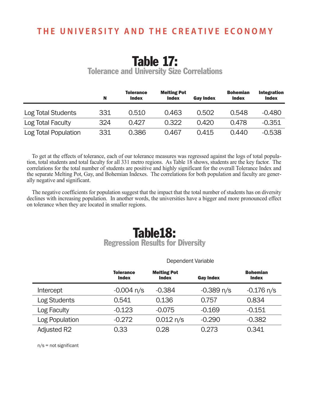# Table 17:

Tolerance and University Size Correlations

|                      | N   | <b>Tolerance</b><br><b>Index</b> | <b>Melting Pot</b><br><b>Index</b> | <b>Gay Index</b> | <b>Bohemian</b><br><b>Index</b> | <b>Integration</b><br><b>Index</b> |
|----------------------|-----|----------------------------------|------------------------------------|------------------|---------------------------------|------------------------------------|
| Log Total Students   | 331 | 0.510                            | 0.463                              | 0.502            | 0.548                           | $-0.480$                           |
| Log Total Faculty    | 324 | 0.427                            | 0.322                              | 0.420            | 0.478                           | $-0.351$                           |
| Log Total Population | 331 | 0.386                            | 0.467                              | 0.415            | 0.440                           | $-0.538$                           |

To get at the effects of tolerance, each of our tolerance measures was regressed against the logs of total population, total students and total faculty for all 331 metro regions. As Table 18 shows, students are the key factor. The correlations for the total number of students are positive and highly significant for the overall Tolerance Index and the separate Melting Pot, Gay, and Bohemian Indexes. The correlations for both population and faculty are generally negative and significant.

The negative coefficients for population suggest that the impact that the total number of students has on diversity declines with increasing population. In another words, the universities have a bigger and more pronounced effect on tolerance when they are located in smaller regions.

### Table18: Regression Results for Diversity

|                     | DUDUNULIL VUHUULU                |                                    |                  |                                 |
|---------------------|----------------------------------|------------------------------------|------------------|---------------------------------|
|                     | <b>Tolerance</b><br><b>Index</b> | <b>Melting Pot</b><br><b>Index</b> | <b>Gay Index</b> | <b>Bohemian</b><br><b>Index</b> |
| Intercept           | $-0.004$ n/s                     | $-0.384$                           | $-0.389$ n/s     | $-0.176$ n/s                    |
| <b>Log Students</b> | 0.541                            | 0.136                              | 0.757            | 0.834                           |
| Log Faculty         | $-0.123$                         | $-0.075$                           | $-0.169$         | $-0.151$                        |
| Log Population      | $-0.272$                         | 0.012 n/s                          | $-0.290$         | $-0.382$                        |
| <b>Adjusted R2</b>  | 0.33                             | 0.28                               | 0.273            | 0.341                           |

Dependent Variable

n/s = not significant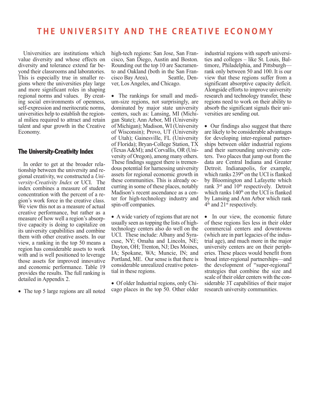Universities are institutions which value diversity and whose effects on diversity and tolerance extend far beyond their classrooms and laboratories. This is especially true in smaller regions where the universities play large and more significant roles in shaping regional norms and values. By creating social environments of openness, self-expression and meritocratic norms, universities help to establish the regional milieu required to attract and retain talent and spur growth in the Creative Economy.

#### The University-Creativity Index

In order to get at the broader relationship between the university and regional creativity, we constructed a *University-Creativity Index* or UCI. The index combines a measure of student concentration with the percent of a region's work force in the creative class. We view this not as a measure of actual creative performance, but rather as a measure of how well a region's absorptive capacity is doing to capitalize on its university capabilities and combine them with other creative assets. In our view, a ranking in the top 50 means a region has considerable assets to work with and is well positioned to leverage those assets for improved innovative and economic performance. Table 19 provides the results. The full ranking is detailed in Appendix 2.

• The top 5 large regions are all noted

high-tech regions: San Jose, San Francisco, San Diego, Austin and Boston. Rounding out the top 10 are Sacramento and Oakland (both in the San Francisco Bay Area), Seattle, Denver, Los Angeles, and Chicago.

• The rankings for small and medium-size regions, not surprisingly, are dominated by major state university centers, such as: Lansing, MI (Michigan State); Ann Arbor, MI (University of Michigan); Madison, WI (University of Wisconsin); Provo, UT (University of Utah); Gainesville, FL (University of Florida); Bryan-College Station, TX (Texas A&M); and Corvallis, OR (University of Oregon), among many others. These findings suggest there is tremendous potential for harnessing university assets for regional economic growth in these communities. This is already occurring in some of these places, notably Madison's recent ascendance as a center for high-technology industry and spin-off companies.

• A wide variety of regions that are not usually seen as topping the lists of hightechnology centers also do well on the UCI. These include: Albany and Syracuse, NY; Omaha and Lincoln, NE; Dayton, OH; Trenton, NJ; Des Moines, IA; Spokane, WA; Muncie, IN; and Portland, ME. Our sense is that there is considerable unrealized creative potential in these regions.

• Of older Industrial regions, only Chicago places in the top 50. Other older industrial regions with superb universities and colleges – like St. Louis, Baltimore, Philadelphia, and Pittsburgh rank only between 50 and 100. It is our view that these regions suffer from a significant absorptive capacity deficit. Alongside efforts to improve university research and technology transfer, these regions need to work on their ability to absorb the significant signals their universities are sending out.

• Our findings also suggest that there are likely to be considerable advantages for developing inter-regional partnerships between older industrial regions and their surrounding university centers. Two places that jump out from the data are Central Indiana and Greater Detroit. Indianapolis, for example, which ranks 239<sup>th</sup> on the UCI is flanked by Bloomington and Lafayette which rank 3<sup>rd</sup> and 10<sup>th</sup> respectively. Detroit which ranks  $140<sup>th</sup>$  on the UCI is flanked by Lansing and Ann Arbor which rank  $4<sup>th</sup>$  and  $21<sup>st</sup>$  respectively.

• In our view, the economic future of these regions lies less in their older commercial centers and downtowns (which are in part legacies of the industrial age), and much more in the major university centers are on their peripheries. These places would benefit from broad inter-regional partnerships—and the development of "super-regional" strategies that combine the size and scale of their older centers with the considerable 3T capabilities of their major research university communities.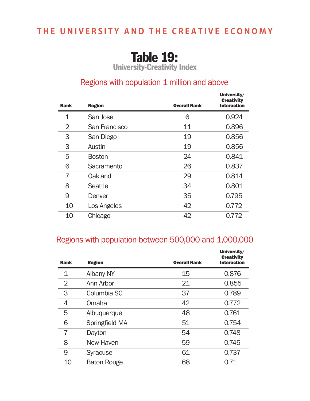# Table 19:

University-Creativity Index

### Regions with population 1 million and above

| <b>Rank</b> | <b>Region</b> | <b>Overall Rank</b> | University/<br><b>Creativity</b><br><b>Interaction</b> |
|-------------|---------------|---------------------|--------------------------------------------------------|
| 1           | San Jose      | 6                   | 0.924                                                  |
| 2           | San Francisco | 11                  | 0.896                                                  |
| 3           | San Diego     | 19                  | 0.856                                                  |
| 3           | Austin        | 19                  | 0.856                                                  |
| 5           | <b>Boston</b> | 24                  | 0.841                                                  |
| 6           | Sacramento    | 26                  | 0.837                                                  |
| 7           | Oakland       | 29                  | 0.814                                                  |
| 8           | Seattle       | 34                  | 0.801                                                  |
| 9           | Denver        | 35                  | 0.795                                                  |
| 10          | Los Angeles   | 42                  | 0.772                                                  |
| 10          | Chicago       | 42                  | 0.772                                                  |

### Regions with population between 500,000 and 1,000,000

| <b>Rank</b> | <b>Region</b>      | <b>Overall Rank</b> | University/<br><b>Creativity</b><br><b>Interaction</b> |
|-------------|--------------------|---------------------|--------------------------------------------------------|
| $\mathbf 1$ | <b>Albany NY</b>   | 15                  | 0.876                                                  |
| 2           | Ann Arbor          | 21                  | 0.855                                                  |
| 3           | Columbia SC        | 37                  | 0.789                                                  |
| 4           | Omaha              | 42                  | 0.772                                                  |
| 5           | Albuquerque        | 48                  | 0.761                                                  |
| 6           | Springfield MA     | 51                  | 0.754                                                  |
| 7           | Dayton             | 54                  | 0.748                                                  |
| 8           | New Haven          | 59                  | 0.745                                                  |
| 9           | <b>Syracuse</b>    | 61                  | 0.737                                                  |
| 10          | <b>Baton Rouge</b> | 68                  | 0.71                                                   |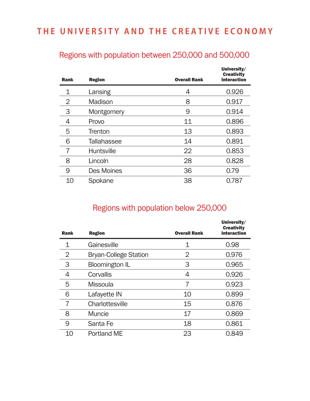| <b>Rank</b> | <b>Region</b>      | <b>Overall Rank</b> | University/<br><b>Creativity</b><br><b>Interaction</b> |
|-------------|--------------------|---------------------|--------------------------------------------------------|
| 1           | Lansing            | 4                   | 0.926                                                  |
| 2           | Madison            | 8                   | 0.917                                                  |
| 3           | Montgomery         | 9                   | 0.914                                                  |
| 4           | Provo              | 11                  | 0.896                                                  |
| 5           | <b>Trenton</b>     | 13                  | 0.893                                                  |
| 6           | <b>Tallahassee</b> | 14                  | 0.891                                                  |
| 7           | <b>Huntsville</b>  | 22                  | 0.853                                                  |
| 8           | Lincoln            | 28                  | 0.828                                                  |
| 9           | <b>Des Moines</b>  | 36                  | 0.79                                                   |
| 10          | Spokane            | 38                  | 0.787                                                  |

### Regions with population between 250,000 and 500,000

### Regions with population below 250,000

| <b>Rank</b> | <b>Region</b>                | <b>Overall Rank</b> | University/<br><b>Creativity</b><br><b>Interaction</b> |
|-------------|------------------------------|---------------------|--------------------------------------------------------|
| $\mathbf 1$ | Gainesville                  | 1                   | 0.98                                                   |
| 2           | <b>Bryan-College Station</b> | 2                   | 0.976                                                  |
| 3           | <b>Bloomington IL</b>        | 3                   | 0.965                                                  |
| 4           | Corvallis                    | 4                   | 0.926                                                  |
| 5           | <b>Missoula</b>              | 7                   | 0.923                                                  |
| 6           | Lafayette IN                 | 10                  | 0.899                                                  |
| 7           | Charlottesville              | 15                  | 0.876                                                  |
| 8           | <b>Muncie</b>                | 17                  | 0.869                                                  |
| 9           | Santa Fe                     | 18                  | 0.861                                                  |
| 10          | Portland ME                  | 23                  | 0.849                                                  |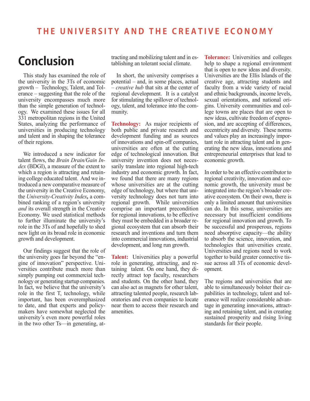# **Conclusion**

This study has examined the role of the university in the 3Ts of economic growth – Technology, Talent, and Tolerance – suggesting that the role of the university encompasses much more than the simple generation of technology. We examined these issues for all 331 metropolitan regions in the United States, analyzing the performance of universities in producing technology and talent and in shaping the tolerance of their regions.

We introduced a new indicator for talent flows, the *Brain Drain/Gain Index* (BDGI), a measure of the extent to which a region is attracting and retaining college educated talent. And we introduced a new comparative measure of the university in the Creative Economy, the *University-Creativity Index,* a combined ranking of a region's university *and* its overall strength in the Creative Economy. We used statistical methods to further illuminate the university's role in the 3Ts of and hopefully to shed new light on its broad role in economic growth and development.

Our findings suggest that the role of the university goes far beyond the "engine of innovation" perspective. Universities contribute much more than simply pumping out commercial technology or generating startup companies. In fact, we believe that the university's role in the first T, technology, while important, has been overemphasized to date, and that experts and policymakers have somewhat neglected the university's even more powerful roles in the two other Ts—in generating, attracting and mobilizing talent and in establishing an tolerant social climate.

In short, the university comprises a potential – and, in some places, actual – *creative hub* that sits at the center of regional development. It is a catalyst for stimulating the spillover of technology, talent, and tolerance into the community.

**Technology:** As major recipients of both public and private research and development funding and as sources of innovations and spin-off companies, universities are often at the cutting edge of technological innovation. But university invention does not necessarily translate into regional high-tech industry and economic growth. In fact, we found that there are many regions whose universities are at the cutting edge of technology, but where that university technology does not turn into regional growth. While universities comprise an important precondition for regional innovations, to be effective they must be embedded in a broader regional ecosystem that can absorb their research and inventions and turn them into commercial innovations, industrial development, and long run growth.

**Talent:** Universities play a powerful role in generating, attracting, and retaining talent. On one hand, they directly attract top faculty, researchers and students. On the other hand, they can also act as magnets for other talent, attracting talented people, research laboratories and even companies to locate near them to access their research and amenities.

**Tolerance:** Universities and colleges help to shape a regional environment that is open to new ideas and diversity. Universities are the Ellis Islands of the creative age, attracting students and faculty from a wide variety of racial and ethnic backgrounds, income levels, sexual orientations, and national origins. University communities and college towns are places that are open to new ideas, cultivate freedom of expression, and are accepting of differences, eccentricity and diversity. These norms and values play an increasingly important role in attracting talent and in generating the new ideas, innovations and entrepreneurial enterprises that lead to economic growth.

In order to be an effective contributor to regional creativity, innovation and economic growth, the university must be integrated into the region's broader creative ecosystem. On their own, there is only a limited amount that universities can do. In this sense, universities are necessary but insufficient conditions for regional innovation and growth. To be successful and prosperous, regions need absorptive capacity—the ability to absorb the science, innovation, and technologies that universities create. Universities and regions need to work together to build greater connective tissue across all 3Ts of economic development.

The regions and universities that are able to simultaneously bolster their capabilities in technology, talent and tolerance will realize considerable advantage in generating innovations, attracting and retaining talent, and in creating sustained prosperity and rising living standards for their people.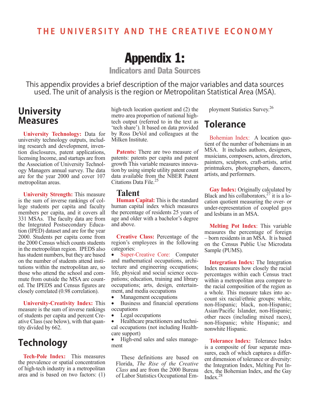# Appendix 1:

Indicators and Data Sources

This appendix provides a brief description of the major variables and data sources used. The unit of analysis is the region or Metropolitan Statistical Area (MSA).

### **University Measures**

**University Technology:** Data for university technology outputs, including research and development, invention disclosures, patent applications, licensing Income, and startups are from the Association of University Technology Managers annual survey. The data are for the year 2000 and cover 107 metropolitan areas.

**University Strength:** This measure is the sum of inverse rankings of college students per capita and faculty members per capita, and it covers all 331 MSAs. The faculty data are from the Integrated Postsecondary Education (IPED) dataset and are for the year 2000. Students per capita come from the 2000 Census which counts students in the metropolitan region. IPEDS also has student numbers, but they are based on the number of students attend institutions within the metropolitan are, so those who attend the school and commute from outside the MSA are counted. The IPEDS and Census figures are closely correlated (0.98 correlation).

**University-Creativity Index:** This measure is the sum of inverse rankings of students per capita and percent Creative Class (see below), with that quantity divided by 662.

### **Technology**

**Tech-Pole Index:** This measures the prevalence or spatial concentration of high-tech industry in a metropolitan area and is based on two factors: (1)

high-tech location quotient and (2) the metro area proportion of national hightech output (referred to in the text as 'tech share'). It based on data provided by Ross DeVol and colleagues at the Milken Institute.

**Patents:** There are two measure of patents: patents per capita and patent growth This variable measures innovation by using simple utility patent count data available from the NBER Patent Citations Data File.<sup>25</sup>

#### **Talent**

**Human Capital:** This is the standard human capital index which measures the percentage of residents 25 years of age and older with a bachelor's degree and above.

**Creative Class:** Percentage of the region's employees in the following categories:

• Super-Creative Core: Computer and mathematical occupations, architecture and engineering occupations; life, physical and social science occupations; education, training and library occupations; arts, design, entertainment, and media occupations

• Management occupations

• Business and financial operations occupations

• Legal occupations

• Healthcare practitioners and technical occupations (not including Healthcare support)

• High-end sales and sales management

These definitions are based on Florida, *The Rise of the Creative Class* and are from the 2000 Bureau of Labor Statistics Occupational Employment Statistics Survey.26

### **Tolerance**

Bohemian Index: A location quotient of the number of bohemians in an MSA. It includes authors, designers, musicians, composers, actors, directors, painters, sculptors, craft-artists, artist printmakers, photographers, dancers, artists, and performers.

**Gay Index:** Originally calculated by Black and his collaborators,  $27$  it is a location quotient measuring the over- or under-representation of coupled gays and lesbians in an MSA.

**Melting Pot Index**: This variable measures the percentage of foreign – born residents in an MSA. It is based on the Census Public Use Microdata Sample (PUMS).

**Integration Index:** The Integration Index measures how closely the racial percentages within each Census tract within a metropolitan area compare to the racial composition of the region as a whole. This measure takes into account six racial/ethnic groups: white, non-Hispanic; black, non-Hispanic; Asian/Pacific Islander, non-Hispanic; other races (including mixed races), non-Hispanic; white Hispanic; and nonwhite Hispanic.

**Tolerance Index:** Tolerance Index is a composite of four separate measures, each of which captures a different dimension of tolerance or diversity: the Integration Index, Melting Pot Index, the Bohemian Index, and the Gay Index. $<sup>2</sup>$ </sup>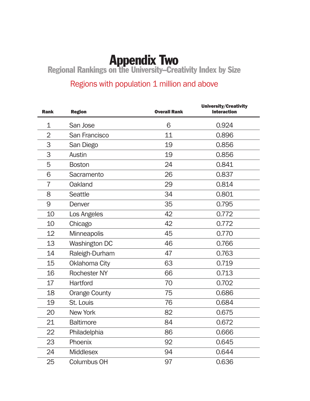**Appendix Two**<br>Regional Rankings on the University–Creativity Index by Size

### Regions with population 1 million and above

| <b>Rank</b>    | <b>Region</b>        | <b>Overall Rank</b> | University/Creativity<br><b>Interaction</b> |
|----------------|----------------------|---------------------|---------------------------------------------|
| 1              | San Jose             | 6                   | 0.924                                       |
| $\overline{2}$ | San Francisco        | 11                  | 0.896                                       |
| 3              | San Diego            | 19                  | 0.856                                       |
| 3              | <b>Austin</b>        | 19                  | 0.856                                       |
| 5              | <b>Boston</b>        | 24                  | 0.841                                       |
| 6              | Sacramento           | 26                  | 0.837                                       |
| 7              | <b>Oakland</b>       | 29                  | 0.814                                       |
| 8              | <b>Seattle</b>       | 34                  | 0.801                                       |
| 9              | Denver               | 35                  | 0.795                                       |
| 10             | Los Angeles          | 42                  | 0.772                                       |
| 10             | Chicago              | 42                  | 0.772                                       |
| 12             | <b>Minneapolis</b>   | 45                  | 0.770                                       |
| 13             | <b>Washington DC</b> | 46                  | 0.766                                       |
| 14             | Raleigh-Durham       | 47                  | 0.763                                       |
| 15             | <b>Oklahoma City</b> | 63                  | 0.719                                       |
| 16             | <b>Rochester NY</b>  | 66                  | 0.713                                       |
| 17             | Hartford             | 70                  | 0.702                                       |
| 18             | <b>Orange County</b> | 75                  | 0.686                                       |
| 19             | St. Louis            | 76                  | 0.684                                       |
| 20             | <b>New York</b>      | 82                  | 0.675                                       |
| 21             | <b>Baltimore</b>     | 84                  | 0.672                                       |
| 22             | Philadelphia         | 86                  | 0.666                                       |
| 23             | Phoenix              | 92                  | 0.645                                       |
| 24             | <b>Middlesex</b>     | 94                  | 0.644                                       |
| 25             | <b>Columbus OH</b>   | 97                  | 0.636                                       |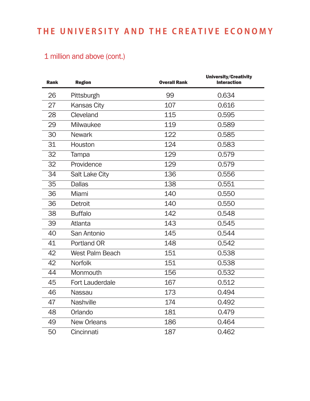### 1 million and above (cont.)

| <b>Rank</b>     | <b>Region</b>          | <b>Overall Rank</b> | University/Creativity<br><b>Interaction</b> |
|-----------------|------------------------|---------------------|---------------------------------------------|
| 26              | Pittsburgh             | 99                  | 0.634                                       |
| 27              | <b>Kansas City</b>     | 107                 | 0.616                                       |
| 28              | Cleveland              | 115                 | 0.595                                       |
| 29              | Milwaukee              | 119                 | 0.589                                       |
| 30              | <b>Newark</b>          | 122                 | 0.585                                       |
| 31              | Houston                | 124                 | 0.583                                       |
| 32              | Tampa                  | 129                 | 0.579                                       |
| 32              | Providence             | 129                 | 0.579                                       |
| 34              | <b>Salt Lake City</b>  | 136                 | 0.556                                       |
| $\overline{35}$ | <b>Dallas</b>          | 138                 | 0.551                                       |
| 36              | Miami                  | 140                 | 0.550                                       |
| 36              | <b>Detroit</b>         | 140                 | 0.550                                       |
| 38              | <b>Buffalo</b>         | 142                 | 0.548                                       |
| 39              | Atlanta                | 143                 | 0.545                                       |
| 40              | San Antonio            | 145                 | 0.544                                       |
| 41              | Portland OR            | 148                 | 0.542                                       |
| 42              | <b>West Palm Beach</b> | 151                 | 0.538                                       |
| 42              | <b>Norfolk</b>         | 151                 | 0.538                                       |
| 44              | Monmouth               | 156                 | 0.532                                       |
| 45              | <b>Fort Lauderdale</b> | 167                 | 0.512                                       |
| 46              | <b>Nassau</b>          | 173                 | 0.494                                       |
| 47              | <b>Nashville</b>       | 174                 | 0.492                                       |
| 48              | Orlando                | 181                 | 0.479                                       |
| 49              | <b>New Orleans</b>     | 186                 | 0.464                                       |
| 50              | Cincinnati             | 187                 | 0.462                                       |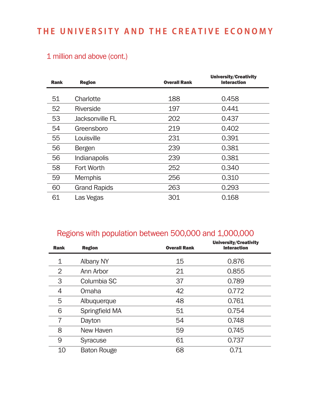### 1 million and above (cont.)

| <b>Rank</b> | <b>Region</b>       | <b>Overall Rank</b> | <b>University/Creativity</b><br><b>Interaction</b> |
|-------------|---------------------|---------------------|----------------------------------------------------|
|             |                     |                     |                                                    |
| 51          | Charlotte           | 188                 | 0.458                                              |
| 52          | <b>Riverside</b>    | 197                 | 0.441                                              |
| 53          | Jacksonville FL     | 202                 | 0.437                                              |
| 54          | Greensboro          | 219                 | 0.402                                              |
| 55          | Louisville          | 231                 | 0.391                                              |
| 56          | <b>Bergen</b>       | 239                 | 0.381                                              |
| 56          | Indianapolis        | 239                 | 0.381                                              |
| 58          | <b>Fort Worth</b>   | 252                 | 0.340                                              |
| 59          | <b>Memphis</b>      | 256                 | 0.310                                              |
| 60          | <b>Grand Rapids</b> | 263                 | 0.293                                              |
| 61          | Las Vegas           | 301                 | 0.168                                              |

### Regions with population between 500,000 and 1,000,000

| <b>Rank</b> | <b>Region</b>      | <b>Overall Rank</b> | University/Creativity<br><b>Interaction</b> |
|-------------|--------------------|---------------------|---------------------------------------------|
| 1           | Albany NY          | 15                  | 0.876                                       |
| 2           | Ann Arbor          | 21                  | 0.855                                       |
| 3           | Columbia SC        | 37                  | 0.789                                       |
| 4           | Omaha              | 42                  | 0.772                                       |
| 5           | Albuquerque        | 48                  | 0.761                                       |
| 6           | Springfield MA     | 51                  | 0.754                                       |
| 7           | Dayton             | 54                  | 0.748                                       |
| 8           | New Haven          | 59                  | 0.745                                       |
| 9           | <b>Syracuse</b>    | 61                  | 0.737                                       |
| 10          | <b>Baton Rouge</b> | 68                  | 0.71                                        |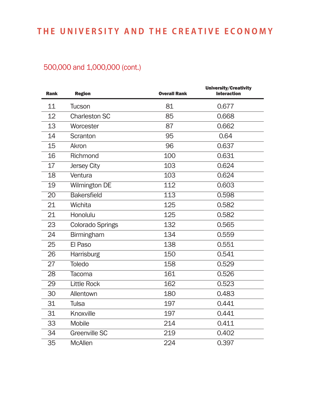| <b>Rank</b>     | <b>Region</b>           | <b>Overall Rank</b> | University/Creativity<br><b>Interaction</b> |
|-----------------|-------------------------|---------------------|---------------------------------------------|
| 11              | Tucson                  | 81                  | 0.677                                       |
| 12              | <b>Charleston SC</b>    | 85                  | 0.668                                       |
| 13              | Worcester               | 87                  | 0.662                                       |
| 14              | Scranton                | 95                  | 0.64                                        |
| 15              | Akron                   | 96                  | 0.637                                       |
| 16              | Richmond                | 100                 | 0.631                                       |
| 17              | <b>Jersey City</b>      | 103                 | 0.624                                       |
| 18              | Ventura                 | 103                 | 0.624                                       |
| 19              | <b>Wilmington DE</b>    | 112                 | 0.603                                       |
| $\overline{20}$ | <b>Bakersfield</b>      | 113                 | 0.598                                       |
| 21              | Wichita                 | 125                 | 0.582                                       |
| 21              | Honolulu                | 125                 | 0.582                                       |
| 23              | <b>Colorado Springs</b> | 132                 | 0.565                                       |
| 24              | <b>Birmingham</b>       | 134                 | 0.559                                       |
| 25              | El Paso                 | 138                 | 0.551                                       |
| 26              | Harrisburg              | 150                 | 0.541                                       |
| 27              | <b>Toledo</b>           | 158                 | 0.529                                       |
| 28              | Tacoma                  | 161                 | 0.526                                       |
| $\overline{2}9$ | <b>Little Rock</b>      | 162                 | 0.523                                       |
| 30              | Allentown               | 180                 | 0.483                                       |
| 31              | Tulsa                   | 197                 | 0.441                                       |
| 31              | Knoxville               | 197                 | 0.441                                       |
| 33              | <b>Mobile</b>           | 214                 | 0.411                                       |
| 34              | <b>Greenville SC</b>    | 219                 | 0.402                                       |
| 35              | <b>McAllen</b>          | 224                 | 0.397                                       |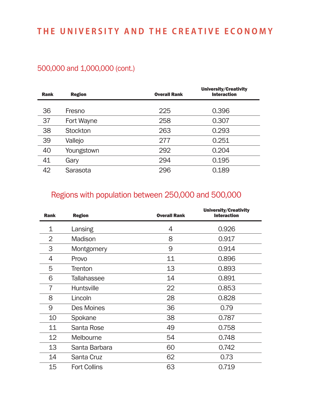### 500,000 and 1,000,000 (cont.)

| <b>Rank</b> | <b>Region</b>   | <b>Overall Rank</b> | <b>University/Creativity</b><br><b>Interaction</b> |
|-------------|-----------------|---------------------|----------------------------------------------------|
|             |                 |                     |                                                    |
| 36          | Fresno          | 225                 | 0.396                                              |
| 37          | Fort Wayne      | 258                 | 0.307                                              |
| 38          | <b>Stockton</b> | 263                 | 0.293                                              |
| 39          | Vallejo         | 277                 | 0.251                                              |
| 40          | Youngstown      | 292                 | 0.204                                              |
| 41          | Gary            | 294                 | 0.195                                              |
| 42          | Sarasota        | 296                 | 0.189                                              |

### Regions with population between 250,000 and 500,000

| <b>Rank</b>    | <b>Region</b>       | <b>Overall Rank</b> | <b>University/Creativity</b><br><b>Interaction</b> |
|----------------|---------------------|---------------------|----------------------------------------------------|
| 1              | Lansing             | 4                   | 0.926                                              |
| $\overline{2}$ | <b>Madison</b>      | 8                   | 0.917                                              |
| 3              | Montgomery          | 9                   | 0.914                                              |
| 4              | Provo               | 11                  | 0.896                                              |
| 5              | <b>Trenton</b>      | 13                  | 0.893                                              |
| 6              | Tallahassee         | 14                  | 0.891                                              |
| 7              | <b>Huntsville</b>   | 22                  | 0.853                                              |
| 8              | Lincoln             | 28                  | 0.828                                              |
| 9              | Des Moines          | 36                  | 0.79                                               |
| 10             | Spokane             | 38                  | 0.787                                              |
| 11             | Santa Rose          | 49                  | 0.758                                              |
| 12             | Melbourne           | 54                  | 0.748                                              |
| 13             | Santa Barbara       | 60                  | 0.742                                              |
| 14             | Santa Cruz          | 62                  | 0.73                                               |
| 15             | <b>Fort Collins</b> | 63                  | 0.719                                              |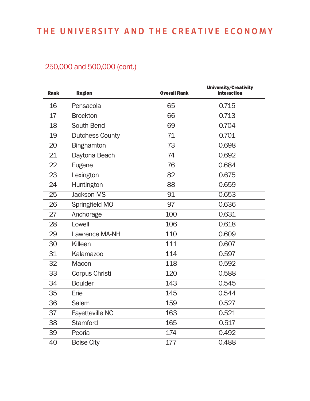| <b>Rank</b>     | <b>Region</b>          | <b>Overall Rank</b> | University/Creativity<br><b>Interaction</b> |
|-----------------|------------------------|---------------------|---------------------------------------------|
| 16              | Pensacola              | 65                  | 0.715                                       |
| 17              | <b>Brockton</b>        | 66                  | 0.713                                       |
| 18              | South Bend             | 69                  | 0.704                                       |
| 19              | <b>Dutchess County</b> | 71                  | 0.701                                       |
| 20              | <b>Binghamton</b>      | 73                  | 0.698                                       |
| 21              | Daytona Beach          | 74                  | 0.692                                       |
| 22              | Eugene                 | 76                  | 0.684                                       |
| 23              | Lexington              | 82                  | 0.675                                       |
| 24              | Huntington             | 88                  | 0.659                                       |
| $\overline{25}$ | <b>Jackson MS</b>      | 91                  | 0.653                                       |
| 26              | Springfield MO         | 97                  | 0.636                                       |
| 27              | Anchorage              | 100                 | 0.631                                       |
| 28              | Lowell                 | 106                 | 0.618                                       |
| 29              | Lawrence MA-NH         | 110                 | 0.609                                       |
| 30              | Killeen                | 111                 | 0.607                                       |
| 31              | Kalamazoo              | 114                 | 0.597                                       |
| 32              | Macon                  | 118                 | 0.592                                       |
| 33              | Corpus Christi         | 120                 | 0.588                                       |
| $\overline{34}$ | <b>Boulder</b>         | 143                 | 0.545                                       |
| 35              | Erie                   | 145                 | 0.544                                       |
| 36              | Salem                  | 159                 | 0.527                                       |
| 37              | <b>Fayetteville NC</b> | 163                 | 0.521                                       |
| 38              | <b>Stamford</b>        | 165                 | 0.517                                       |
| 39              | Peoria                 | 174                 | 0.492                                       |
| 40              | <b>Boise City</b>      | 177                 | 0.488                                       |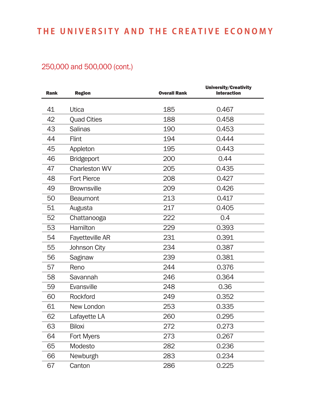| <b>Rank</b> | <b>Region</b>          | <b>Overall Rank</b> | University/Creativity<br><b>Interaction</b> |
|-------------|------------------------|---------------------|---------------------------------------------|
|             |                        |                     |                                             |
| 41          | Utica                  | 185                 | 0.467                                       |
| 42          | <b>Quad Cities</b>     | 188                 | 0.458                                       |
| 43          | <b>Salinas</b>         | 190                 | 0.453                                       |
| 44          | Flint                  | 194                 | 0.444                                       |
| 45          | Appleton               | 195                 | 0.443                                       |
| 46          | <b>Bridgeport</b>      | 200                 | 0.44                                        |
| 47          | <b>Charleston WV</b>   | 205                 | 0.435                                       |
| 48          | <b>Fort Pierce</b>     | 208                 | 0.427                                       |
| 49          | <b>Brownsville</b>     | 209                 | 0.426                                       |
| 50          | <b>Beaumont</b>        | 213                 | 0.417                                       |
| 51          | Augusta                | 217                 | 0.405                                       |
| 52          | Chattanooga            | 222                 | 0.4                                         |
| 53          | Hamilton               | 229                 | 0.393                                       |
| 54          | <b>Fayetteville AR</b> | 231                 | 0.391                                       |
| 55          | Johnson City           | 234                 | 0.387                                       |
| 56          | Saginaw                | 239                 | 0.381                                       |
| 57          | Reno                   | 244                 | 0.376                                       |
| 58          | Savannah               | 246                 | 0.364                                       |
| 59          | Evansville             | 248                 | 0.36                                        |
| 60          | <b>Rockford</b>        | 249                 | 0.352                                       |
| 61          | New London             | 253                 | 0.335                                       |
| 62          | Lafayette LA           | 260                 | 0.295                                       |
| 63          | <b>Biloxi</b>          | 272                 | 0.273                                       |
| 64          | Fort Myers             | 273                 | 0.267                                       |
| 65          | Modesto                | 282                 | 0.236                                       |
| 66          | Newburgh               | 283                 | 0.234                                       |
| 67          | Canton                 | 286                 | 0.225                                       |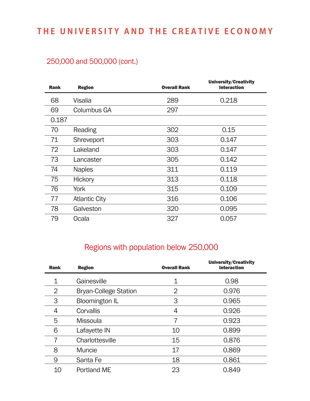### 250,000 and 500,000 (cont.)

| <b>Rank</b> | <b>Region</b>        | <b>Overall Rank</b> | University/Creativity<br><b>Interaction</b> |
|-------------|----------------------|---------------------|---------------------------------------------|
| 68          | Visalia              | 289                 | 0.218                                       |
| 69          | <b>Columbus GA</b>   | 297                 |                                             |
| 0.187       |                      |                     |                                             |
| 70          | Reading              | 302                 | 0.15                                        |
| 71          | Shreveport           | 303                 | 0.147                                       |
| 72          | Lakeland             | 303                 | 0.147                                       |
| 73          | Lancaster            | 305                 | 0.142                                       |
| 74          | <b>Naples</b>        | 311                 | 0.119                                       |
| 75          | <b>Hickory</b>       | 313                 | 0.118                                       |
| 76          | York                 | 315                 | 0.109                                       |
| 77          | <b>Atlantic City</b> | 316                 | 0.106                                       |
| 78          | Galveston            | 320                 | 0.095                                       |
| 79          | Ocala                | 327                 | 0.057                                       |

### Regions with population below 250,000

| <b>Rank</b>    | <b>Region</b>                | <b>Overall Rank</b> | <b>University/Creativity</b><br><b>Interaction</b> |
|----------------|------------------------------|---------------------|----------------------------------------------------|
| 1              | Gainesville                  | 1                   | 0.98                                               |
| $\overline{2}$ | <b>Bryan-College Station</b> | 2                   | 0.976                                              |
| 3              | <b>Bloomington IL</b>        | 3                   | 0.965                                              |
| 4              | <b>Corvallis</b>             | 4                   | 0.926                                              |
| 5              | <b>Missoula</b>              | 7                   | 0.923                                              |
| 6              | Lafayette IN                 | 10                  | 0.899                                              |
| 7              | Charlottesville              | 15                  | 0.876                                              |
| 8              | <b>Muncie</b>                | 17                  | 0.869                                              |
| 9              | Santa Fe                     | 18                  | 0.861                                              |
| 10             | Portland ME                  | 23                  | 0.849                                              |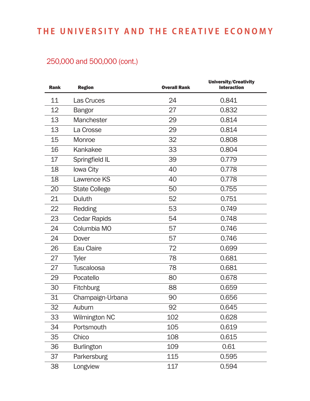| <b>Rank</b>     | <b>Region</b>        | <b>Overall Rank</b> | University/Creativity<br><b>Interaction</b> |
|-----------------|----------------------|---------------------|---------------------------------------------|
| 11              | Las Cruces           | 24                  | 0.841                                       |
| 12              | <b>Bangor</b>        | 27                  | 0.832                                       |
| 13              | Manchester           | 29                  | 0.814                                       |
| 13              | La Crosse            | 29                  | 0.814                                       |
| 15              | Monroe               | 32                  | 0.808                                       |
| 16              | Kankakee             | 33                  | 0.804                                       |
| 17              | Springfield IL       | 39                  | 0.779                                       |
| 18              | Iowa City            | 40                  | 0.778                                       |
| 18              | Lawrence KS          | 40                  | 0.778                                       |
| $\overline{20}$ | <b>State College</b> | 50                  | 0.755                                       |
| 21              | Duluth               | 52                  | 0.751                                       |
| 22              | Redding              | 53                  | 0.749                                       |
| 23              | <b>Cedar Rapids</b>  | 54                  | 0.748                                       |
| 24              | Columbia MO          | 57                  | 0.746                                       |
| 24              | Dover                | 57                  | 0.746                                       |
| 26              | Eau Claire           | 72                  | 0.699                                       |
| 27              | <b>Tyler</b>         | 78                  | 0.681                                       |
| 27              | <b>Tuscaloosa</b>    | 78                  | 0.681                                       |
| 29              | Pocatello            | 80                  | 0.678                                       |
| 30              | <b>Fitchburg</b>     | 88                  | 0.659                                       |
| 31              | Champaign-Urbana     | 90                  | 0.656                                       |
| 32              | Auburn               | 92                  | 0.645                                       |
| 33              | <b>Wilmington NC</b> | 102                 | 0.628                                       |
| 34              | Portsmouth           | 105                 | 0.619                                       |
| 35              | Chico                | 108                 | 0.615                                       |
| 36              | <b>Burlington</b>    | 109                 | 0.61                                        |
| 37              | Parkersburg          | 115                 | 0.595                                       |
| 38              | Longview             | 117                 | 0.594                                       |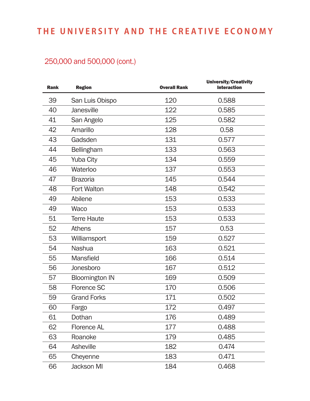| <b>Rank</b> | <b>Region</b>         | <b>Overall Rank</b> | University/Creativity<br><b>Interaction</b> |
|-------------|-----------------------|---------------------|---------------------------------------------|
| 39          | San Luis Obispo       | 120                 | 0.588                                       |
| 40          | Janesville            | 122                 | 0.585                                       |
| 41          | San Angelo            | 125                 | 0.582                                       |
| 42          | Amarillo              | 128                 | 0.58                                        |
| 43          | Gadsden               | 131                 | 0.577                                       |
| 44          | <b>Bellingham</b>     | 133                 | 0.563                                       |
| 45          | <b>Yuba City</b>      | 134                 | 0.559                                       |
| 46          | Waterloo              | 137                 | 0.553                                       |
| 47          | <b>Brazoria</b>       | 145                 | 0.544                                       |
| 48          | <b>Fort Walton</b>    | 148                 | 0.542                                       |
| 49          | Abilene               | 153                 | 0.533                                       |
| 49          | Waco                  | 153                 | 0.533                                       |
| 51          | <b>Terre Haute</b>    | 153                 | 0.533                                       |
| 52          | <b>Athens</b>         | 157                 | 0.53                                        |
| 53          | Williamsport          | 159                 | 0.527                                       |
| 54          | <b>Nashua</b>         | 163                 | 0.521                                       |
| 55          | Mansfield             | 166                 | 0.514                                       |
| 56          | Jonesboro             | 167                 | 0.512                                       |
| 57          | <b>Bloomington IN</b> | 169                 | 0.509                                       |
| 58          | <b>Florence SC</b>    | 170                 | 0.506                                       |
| 59          | <b>Grand Forks</b>    | 171                 | 0.502                                       |
| 60          | Fargo                 | 172                 | 0.497                                       |
| 61          | Dothan                | 176                 | 0.489                                       |
| 62          | <b>Florence AL</b>    | 177                 | 0.488                                       |
| 63          | Roanoke               | 179                 | 0.485                                       |
| 64          | Asheville             | 182                 | 0.474                                       |
| 65          | Cheyenne              | 183                 | 0.471                                       |
| 66          | <b>Jackson MI</b>     | 184                 | 0.468                                       |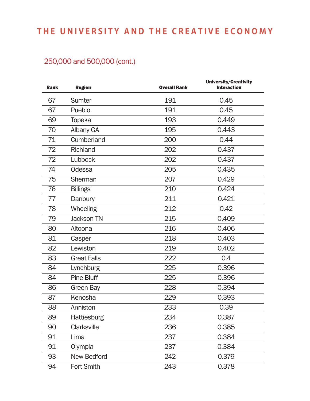| <b>Rank</b> | <b>Region</b>      | <b>Overall Rank</b> | University/Creativity<br><b>Interaction</b> |
|-------------|--------------------|---------------------|---------------------------------------------|
| 67          | <b>Sumter</b>      | 191                 | 0.45                                        |
| 67          | Pueblo             | 191                 | 0.45                                        |
| 69          | <b>Topeka</b>      | 193                 | 0.449                                       |
| 70          | Albany GA          | 195                 | 0.443                                       |
| 71          | Cumberland         | 200                 | 0.44                                        |
| 72          | Richland           | 202                 | 0.437                                       |
| 72          | Lubbock            | 202                 | 0.437                                       |
| 74          | Odessa             | 205                 | 0.435                                       |
| 75          | Sherman            | 207                 | 0.429                                       |
| 76          | <b>Billings</b>    | 210                 | 0.424                                       |
| 77          | Danbury            | 211                 | 0.421                                       |
| 78          | Wheeling           | 212                 | 0.42                                        |
| 79          | <b>Jackson TN</b>  | 215                 | 0.409                                       |
| 80          | Altoona            | 216                 | 0.406                                       |
| 81          | Casper             | 218                 | 0.403                                       |
| 82          | Lewiston           | 219                 | 0.402                                       |
| 83          | <b>Great Falls</b> | 222                 | 0.4                                         |
| 84          | Lynchburg          | 225                 | 0.396                                       |
| 84          | <b>Pine Bluff</b>  | 225                 | 0.396                                       |
| 86          | Green Bay          | 228                 | 0.394                                       |
| 87          | Kenosha            | 229                 | 0.393                                       |
| 88          | Anniston           | 233                 | 0.39                                        |
| 89          | <b>Hattiesburg</b> | 234                 | 0.387                                       |
| 90          | Clarksville        | 236                 | 0.385                                       |
| 91          | Lima               | 237                 | 0.384                                       |
| 91          | Olympia            | 237                 | 0.384                                       |
| 93          | <b>New Bedford</b> | 242                 | 0.379                                       |
| 94          | Fort Smith         | 243                 | 0.378                                       |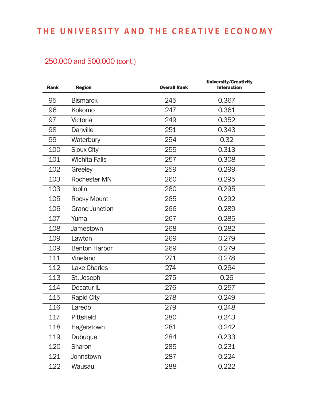| <b>Rank</b> | <b>Region</b>         | <b>Overall Rank</b> | University/Creativity<br><b>Interaction</b> |
|-------------|-----------------------|---------------------|---------------------------------------------|
| 95          | <b>Bismarck</b>       | 245                 | 0.367                                       |
| 96          | Kokomo                | 247                 | 0.361                                       |
| 97          | Victoria              | 249                 | 0.352                                       |
| 98          | <b>Danville</b>       | 251                 | 0.343                                       |
| 99          | Waterbury             | 254                 | 0.32                                        |
| 100         | <b>Sioux City</b>     | 255                 | 0.313                                       |
| 101         | <b>Wichita Falls</b>  | 257                 | 0.308                                       |
| 102         | Greeley               | 259                 | 0.299                                       |
| 103         | <b>Rochester MN</b>   | 260                 | 0.295                                       |
| 103         | Joplin                | 260                 | 0.295                                       |
| 105         | <b>Rocky Mount</b>    | 265                 | 0.292                                       |
| 106         | <b>Grand Junction</b> | 266                 | 0.289                                       |
| 107         | Yuma                  | 267                 | 0.285                                       |
| 108         | Jamestown             | 268                 | 0.282                                       |
| 109         | Lawton                | 269                 | 0.279                                       |
| 109         | <b>Benton Harbor</b>  | 269                 | 0.279                                       |
| 111         | Vineland              | 271                 | 0.278                                       |
| 112         | <b>Lake Charles</b>   | 274                 | 0.264                                       |
| 113         | St. Joseph            | 275                 | 0.26                                        |
| 114         | Decatur <sub>IL</sub> | 276                 | 0.257                                       |
| 115         | <b>Rapid City</b>     | 278                 | 0.249                                       |
| 116         | Laredo                | 279                 | 0.248                                       |
| 117         | <b>Pittsfield</b>     | 280                 | 0.243                                       |
| 118         | <b>Hagerstown</b>     | 281                 | 0.242                                       |
| 119         | Dubuque               | 284                 | 0.233                                       |
| 120         | Sharon                | 285                 | 0.231                                       |
| 121         | Johnstown             | 287                 | 0.224                                       |
| 122         | Wausau                | 288                 | 0.222                                       |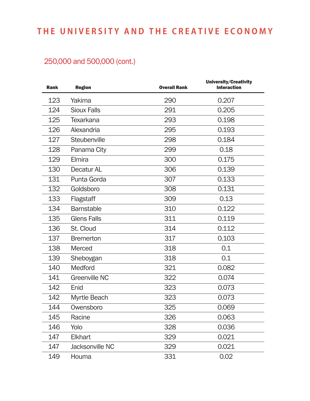| <b>Rank</b> | <b>Region</b>        | <b>Overall Rank</b> | University/Creativity<br><b>Interaction</b> |
|-------------|----------------------|---------------------|---------------------------------------------|
| 123         | Yakima               | 290                 | 0.207                                       |
| 124         | <b>Sioux Falls</b>   | 291                 | 0.205                                       |
| 125         | <b>Texarkana</b>     | 293                 | 0.198                                       |
| 126         | Alexandria           | 295                 | 0.193                                       |
| 127         | Steubenville         | 298                 | 0.184                                       |
| 128         | Panama City          | 299                 | 0.18                                        |
| 129         | Elmira               | 300                 | 0.175                                       |
| 130         | Decatur AL           | 306                 | 0.139                                       |
| 131         | Punta Gorda          | 307                 | 0.133                                       |
| 132         | Goldsboro            | 308                 | 0.131                                       |
| 133         | Flagstaff            | 309                 | 0.13                                        |
| 134         | <b>Barnstable</b>    | 310                 | 0.122                                       |
| 135         | <b>Glens Falls</b>   | 311                 | 0.119                                       |
| 136         | St. Cloud            | 314                 | 0.112                                       |
| 137         | <b>Bremerton</b>     | 317                 | 0.103                                       |
| 138         | Merced               | 318                 | 0.1                                         |
| 139         | Sheboygan            | 318                 | 0.1                                         |
| 140         | Medford              | 321                 | 0.082                                       |
| 141         | <b>Greenville NC</b> | 322                 | 0.074                                       |
| 142         | Enid                 | 323                 | 0.073                                       |
| 142         | Myrtle Beach         | 323                 | 0.073                                       |
| 144         | Owensboro            | 325                 | 0.069                                       |
| 145         | Racine               | 326                 | 0.063                                       |
| 146         | Yolo                 | 328                 | 0.036                                       |
| 147         | <b>Elkhart</b>       | 329                 | 0.021                                       |
| 147         | Jacksonville NC      | 329                 | 0.021                                       |
| 149         | Houma                | 331                 | 0.02                                        |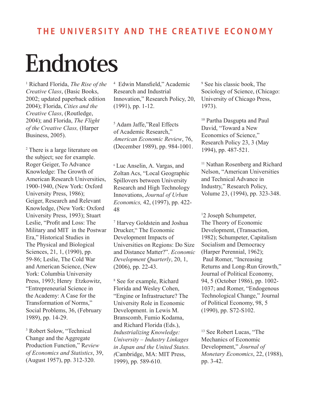# **Endnotes**

1 Richard Florida, *The Rise of the Creative Class*, (Basic Books, 2002; updated paperback edition 2004); Florida, *Cities and the Creative Class*, (Routledge, 2004); and Florida, *The Flight of the Creative Class,* (Harper Business, 2005).

2 There is a large literature on the subject; see for example. Roger Geiger, To Advance Knowledge: The Growth of American Research Universities, 1900-1940, (New York: Oxford University Press, 1986); Geiger, Research and Relevant Knowledge, (New York: Oxford University Press, 1993); Stuart Leslie, "Profit and Loss: The Military and MIT in the Postwar Era," Historical Studies in The Physical and Biological Sciences, 21, 1, (1990), pp. 59-86; Leslie, The Cold War and American Science, (New York: Columbia University Press, 1993; Henry Etzkowitz, "Entrepreneurial Science in the Academy: A Case for the Transformation of Norms," Social Problems, 36, (February 1989), pp. 14-29.

3 Robert Solow, "Technical Change and the Aggregate Production Function," R*eview of Economics and Statistics*, 39, (August 1957), pp. 312-320.

4 Edwin Mansfield," Academic Research and Industrial Innovation," Research Policy, 20, (1991), pp. 1-12.

5 Adam Jaffe,"Real Effects of Academic Research," *American Economic Review*, 76, (December 1989), pp. 984-1001.

<sup>6</sup> Luc Anselin, A. Vargas, and Zoltan Acs, "Local Geographic Spillovers between University Research and High Technology Innovations, *Journal of Urban Economics,* 42, (1997), pp. 422- 48

7 Harvey Goldstein and Joshua Drucker," The Economic Development Impacts of Universities on Regions: Do Size and Distance Matter?". *Economic Development Quarterly*, 20, 1, (2006), pp. 22-43.

8 See for example, Richard Florida and Wesley Cohen, "Engine or Infrastructure? The University Role in Economic Development. in Lewis M. Branscomb, Fumio Kodama, and Richard Florida (Eds.), *Industrializing Knowledge: University – Industry Linkages in Japan and the United States. (*Cambridge, MA: MIT Press, 1999), pp. 589-610.

9 See his classic book, The Sociology of Science, (Chicago: University of Chicago Press, 1973).

10 Partha Dasgupta and Paul David, "Toward a New Economics of Science," Research Policy 23, 3 (May 1994), pp. 487-521.

11 Nathan Rosenberg and Richard Nelson, "American Universities and Technical Advance in Industry," Research Policy, Volume 23, (1994), pp. 323-348.

1 2 Joseph Schumpeter, The Theory of Economic Development, (Transaction, 1982); Schumpeter, Capitalism Socialism and Democracy (Harper Perennial, 1962); Paul Romer, "Increasing Returns and Long-Run Growth," Journal of Political Economy, 94, 5 (October 1986), pp. 1002- 1037; and Romer, "Endogenous Technological Change," Journal of Political Economy, 98, 5 (1990), pp. S72-S102.

<sup>13</sup> See Robert Lucas, "The Mechanics of Economic Development," *Journal of Monetary Economics*, 22, (1988), pp. 3-42.